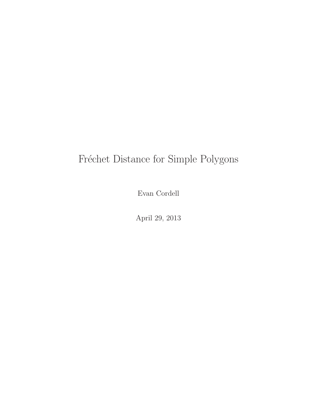# Fréchet Distance for Simple Polygons

Evan Cordell

April 29, 2013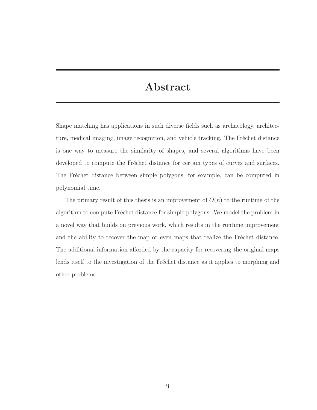## Abstract

Shape matching has applications in such diverse fields such as archaeology, architecture, medical imaging, image recognition, and vehicle tracking. The Fréchet distance is one way to measure the similarity of shapes, and several algorithms have been developed to compute the Fréchet distance for certain types of curves and surfaces. The Fréchet distance between simple polygons, for example, can be computed in polynomial time.

The primary result of this thesis is an improvement of  $O(n)$  to the runtime of the algorithm to compute Fréchet distance for simple polygons. We model the problem in a novel way that builds on previous work, which results in the runtime improvement and the ability to recover the map or even maps that realize the Fréchet distance. The additional information afforded by the capacity for recovering the original maps lends itself to the investigation of the Fréchet distance as it applies to morphing and other problems.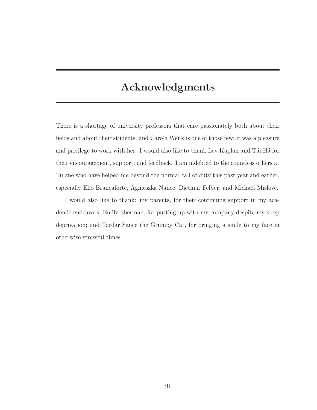## Acknowledgments

There is a shortage of university professors that care passionately both about their fields and about their students, and Carola Wenk is one of those few; it was a pleasure and privilege to work with her. I would also like to thank Lev Kaplan and Tái Há for their encouragement, support, and feedback. I am indebted to the countless others at Tulane who have helped me beyond the normal call of duty this past year and earlier, especially Elio Brancaforte, Agnieszka Nance, Dietmar Felber, and Michael Mislove.

I would also like to thank: my parents, for their continuing support in my academic endeavors; Emily Sherman, for putting up with my company despite my sleep deprivation; and Tardar Sauce the Grumpy Cat, for bringing a smile to my face in otherwise stressful times.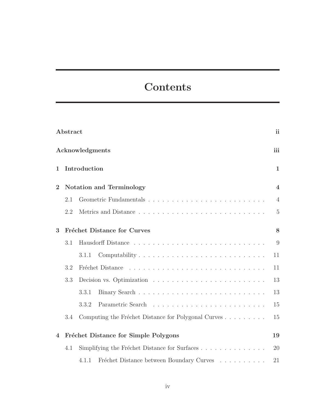# **Contents**

|                | Abstract |                                                                                    | <sub>ii</sub>  |
|----------------|----------|------------------------------------------------------------------------------------|----------------|
|                |          | Acknowledgments                                                                    | iii            |
| 1              |          | Introduction                                                                       | $\mathbf 1$    |
| $\overline{2}$ |          | <b>Notation and Terminology</b>                                                    | $\overline{4}$ |
|                | 2.1      |                                                                                    | $\overline{4}$ |
|                | 2.2      |                                                                                    | $\overline{5}$ |
| 3              |          | <b>Fréchet Distance for Curves</b>                                                 | 8              |
|                | 3.1      |                                                                                    | 9              |
|                |          | 3.1.1                                                                              | 11             |
|                | 3.2      | Fréchet Distance                                                                   | 11             |
|                | 3.3      |                                                                                    | 13             |
|                |          | 3.3.1                                                                              | 13             |
|                |          | 3.3.2                                                                              | 15             |
|                | 3.4      | Computing the Fréchet Distance for Polygonal Curves                                | 15             |
| $\overline{4}$ |          | Fréchet Distance for Simple Polygons                                               | 19             |
|                | 4.1      | Simplifying the Fréchet Distance for Surfaces                                      | 20             |
|                |          | Fréchet Distance between Boundary Curves $\hfill\ldots\ldots\ldots\ldots$<br>4.1.1 | 21             |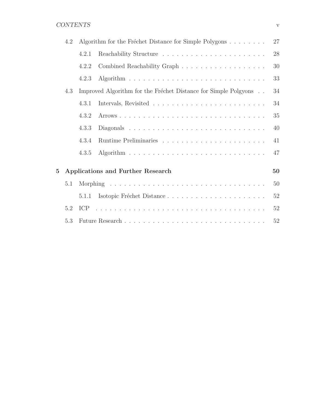### CONTENTS v

|                | 4.2 |       | Algorithm for the Fréchet Distance for Simple Polygons          | 27 |
|----------------|-----|-------|-----------------------------------------------------------------|----|
|                |     | 4.2.1 |                                                                 | 28 |
|                |     | 4.2.2 |                                                                 | 30 |
|                |     | 4.2.3 |                                                                 | 33 |
|                | 4.3 |       | Improved Algorithm for the Fréchet Distance for Simple Polgyons | 34 |
|                |     | 4.3.1 |                                                                 | 34 |
|                |     | 4.3.2 |                                                                 | 35 |
|                |     | 4.3.3 |                                                                 | 40 |
|                |     | 4.3.4 |                                                                 | 41 |
|                |     | 4.3.5 |                                                                 | 47 |
| $\overline{5}$ |     |       | Applications and Further Research                               | 50 |
|                |     |       |                                                                 |    |
|                | 5.1 |       |                                                                 | 50 |
|                |     | 5.1.1 | Isotopic Fréchet Distance                                       | 52 |
|                | 5.2 |       |                                                                 | 52 |
|                | 5.3 |       |                                                                 | 52 |
|                |     |       |                                                                 |    |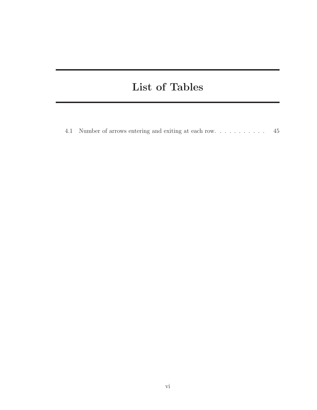# List of Tables

4.1 Number of arrows entering and exiting at each row. . . . . . . . . . . 45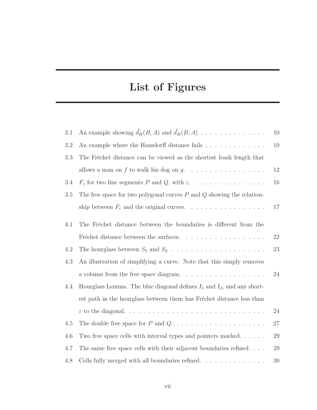# List of Figures

| 3.1 | An example showing $\vec{d}_H(B, A)$ and $\vec{d}_H(B, A)$                        | 10 |
|-----|-----------------------------------------------------------------------------------|----|
| 3.2 | An example where the Hausdorff distance fails                                     | 10 |
| 3.3 | The Fréchet distance can be viewed as the shortest leash length that              |    |
|     | allows a man on $f$ to walk his dog on $g$ .                                      | 12 |
| 3.4 | $F_{\varepsilon}$ for two line segments P and Q, with $\varepsilon$               | 16 |
| 3.5 | The free space for two polygonal curves $P$ and $Q$ showing the relation-         |    |
|     | ship between $F_{\varepsilon}$ and the original curves.                           | 17 |
| 4.1 | The Fréchet distance between the boundaries is different from the                 |    |
|     | Fréchet distance between the surfaces.                                            | 22 |
|     |                                                                                   |    |
| 4.2 |                                                                                   | 23 |
| 4.3 | An illustration of simplifying a curve. Note that this simply removes             |    |
|     | a column from the free space diagram. $\ldots \ldots \ldots \ldots \ldots \ldots$ | 24 |
| 4.4 | Hourglass Lemma. The blue diagonal defines $I_1$ and $I_2$ , and any short-       |    |
|     | est path in the hourglass between them has Fréchet distance less than             |    |
|     |                                                                                   | 24 |
| 4.5 |                                                                                   | 27 |
| 4.6 | Two free space cells with interval types and pointers marked                      | 29 |
| 4.7 | The same free space cells with their adjacent boundaries refined                  | 29 |
| 4.8 | Cells fully merged with all boundaries refined. $\ldots \ldots \ldots \ldots$     | 30 |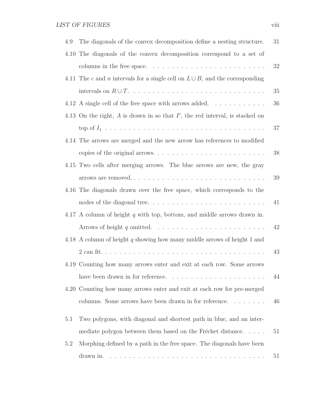| 4.9 | The diagonals of the convex decomposition define a nesting structure.              | 31 |
|-----|------------------------------------------------------------------------------------|----|
|     | 4.10 The diagonals of the convex decomposition correspond to a set of              |    |
|     |                                                                                    | 32 |
|     | 4.11 The c and n intervals for a single cell on $L \cup B$ , and the corresponding |    |
|     |                                                                                    | 35 |
|     | 4.12 A single cell of the free space with arrows added. $\dots \dots \dots$        | 36 |
|     | 4.13 On the right, $A$ is drawn in so that $I'$ , the red interval, is stacked on  |    |
|     |                                                                                    | 37 |
|     | 4.14 The arrows are merged and the new arrow has references to modified            |    |
|     |                                                                                    | 38 |
|     | 4.15 Two cells after merging arrows. The blue arrows are new, the gray             |    |
|     |                                                                                    | 39 |
|     | 4.16 The diagonals drawn over the free space, which corresponds to the             |    |
|     |                                                                                    | 41 |
|     | 4.17 A column of height $q$ with top, bottom, and middle arrows drawn in.          |    |
|     |                                                                                    | 42 |
|     | 4.18 A column of height $q$ showing how many middle arrows of height 1 and         |    |
|     |                                                                                    | 43 |
|     | 4.19 Counting how many arrows enter and exit at each row. Some arrows              |    |
|     | have been drawn in for reference                                                   | 44 |
|     | 4.20 Counting how many arrows enter and exit at each row for pre-merged            |    |
|     | columns. Some arrows have been drawn in for reference.                             | 46 |
| 5.1 | Two polygons, with diagonal and shortest path in blue, and an inter-               |    |
|     | mediate polygon between them based on the Fréchet distance                         | 51 |
| 5.2 | Morphing defined by a path in the free space. The diagonals have been              |    |
|     | drawn in.                                                                          | 51 |
|     |                                                                                    |    |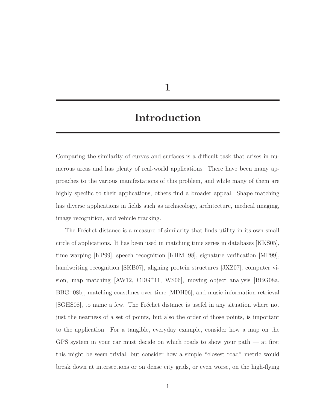1

## Introduction

Comparing the similarity of curves and surfaces is a difficult task that arises in numerous areas and has plenty of real-world applications. There have been many approaches to the various manifestations of this problem, and while many of them are highly specific to their applications, others find a broader appeal. Shape matching has diverse applications in fields such as archaeology, architecture, medical imaging, image recognition, and vehicle tracking.

The Fréchet distance is a measure of similarity that finds utility in its own small circle of applications. It has been used in matching time series in databases [KKS05], time warping [KP99], speech recognition [KHM<sup>+</sup>98], signature verification [MP99], handwriting recognition [SKB07], aligning protein structures [JXZ07], computer vision, map matching [AW12, CDG<sup>+</sup>11, WS06], moving object analysis [BBG08a, BBG<sup>+</sup>08b], matching coastlines over time [MDH06], and music information retrieval [SGHS08], to name a few. The Fréchet distance is usefel in any situation where not just the nearness of a set of points, but also the order of those points, is important to the application. For a tangible, everyday example, consider how a map on the GPS system in your car must decide on which roads to show your path — at first this might be seem trivial, but consider how a simple "closest road" metric would break down at intersections or on dense city grids, or even worse, on the high-flying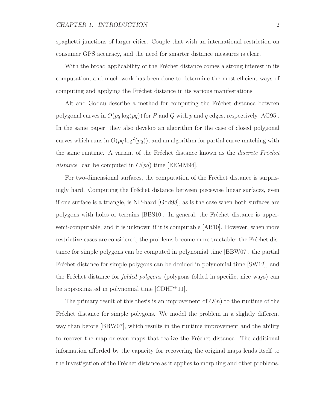spaghetti junctions of larger cities. Couple that with an international restriction on consumer GPS accuracy, and the need for smarter distance measures is clear.

With the broad applicability of the Fréchet distance comes a strong interest in its computation, and much work has been done to determine the most efficient ways of computing and applying the Fréchet distance in its various manifestations.

Alt and Godau describe a method for computing the Fréchet distance between polygonal curves in  $O(pq \log(pq))$  for P and Q with p and q edges, respectively  $|AG95|$ . In the same paper, they also develop an algorithm for the case of closed polygonal curves which runs in  $O(pq \log^2(pq))$ , and an algorithm for partial curve matching with the same runtime. A variant of the Fréchet distance known as the *discrete Fréchet* distance can be computed in  $O(pq)$  time [EEMM94].

For two-dimensional surfaces, the computation of the Fréchet distance is surprisingly hard. Computing the Fréchet distance between piecewise linear surfaces, even if one surface is a triangle, is NP-hard [God98], as is the case when both surfaces are polygons with holes or terrains [BBS10]. In general, the Fréchet distance is uppersemi-computable, and it is unknown if it is computable [AB10]. However, when more restrictive cases are considered, the problems become more tractable: the Fréchet distance for simple polygons can be computed in polynomial time [BBW07], the partial Fréchet distance for simple polygons can be decided in polynomial time [SW12], and the Fréchet distance for *folded polygons* (polygons folded in specific, nice ways) can be approximated in polynomial time [CDHP<sup>+</sup>11].

The primary result of this thesis is an improvement of  $O(n)$  to the runtime of the Fréchet distance for simple polygons. We model the problem in a slightly different way than before [BBW07], which results in the runtime improvement and the ability to recover the map or even maps that realize the Fréchet distance. The additional information afforded by the capacity for recovering the original maps lends itself to the investigation of the Fréchet distance as it applies to morphing and other problems.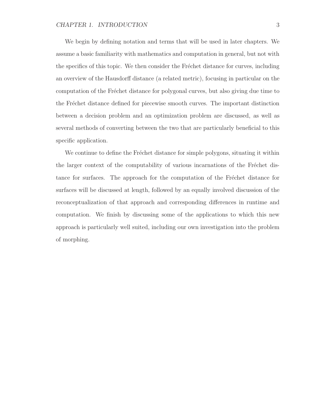We begin by defining notation and terms that will be used in later chapters. We assume a basic familiarity with mathematics and computation in general, but not with the specifics of this topic. We then consider the Fréchet distance for curves, including an overview of the Hausdorff distance (a related metric), focusing in particular on the computation of the Fréchet distance for polygonal curves, but also giving due time to the Fréchet distance defined for piecewise smooth curves. The important distinction between a decision problem and an optimization problem are discussed, as well as several methods of converting between the two that are particularly beneficial to this specific application.

We continue to define the Fréchet distance for simple polygons, situating it within the larger context of the computability of various incarnations of the Fréchet distance for surfaces. The approach for the computation of the Fréchet distance for surfaces will be discussed at length, followed by an equally involved discussion of the reconceptualization of that approach and corresponding differences in runtime and computation. We finish by discussing some of the applications to which this new approach is particularly well suited, including our own investigation into the problem of morphing.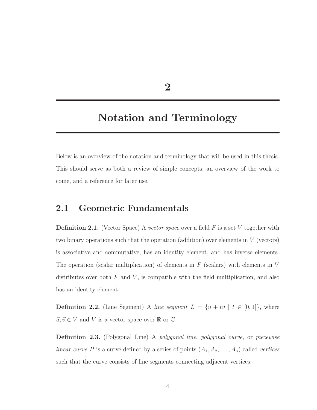2

## Notation and Terminology

Below is an overview of the notation and terminology that will be used in this thesis. This should serve as both a review of simple concepts, an overview of the work to come, and a reference for later use.

## 2.1 Geometric Fundamentals

**Definition 2.1.** (Vector Space) A vector space over a field  $F$  is a set  $V$  together with two binary operations such that the operation (addition) over elements in V (vectors) is associative and commutative, has an identity element, and has inverse elements. The operation (scalar multiplication) of elements in  $F$  (scalars) with elements in  $V$ distributes over both  $F$  and  $V$ , is compatible with the field multiplication, and also has an identity element.

**Definition 2.2.** (Line Segment) A line segment  $L = {\vec{u} + t\vec{v} \mid t \in [0, 1]},$  where  $\vec{u}, \vec{v} \in V$  and  $V$  is a vector space over  $\mathbb R$  or  $\mathbb C.$ 

Definition 2.3. (Polygonal Line) A polygonal line, polygonal curve, or piecewise linear curve P is a curve defined by a series of points  $(A_1, A_2, \ldots, A_n)$  called vertices such that the curve consists of line segments connecting adjacent vertices.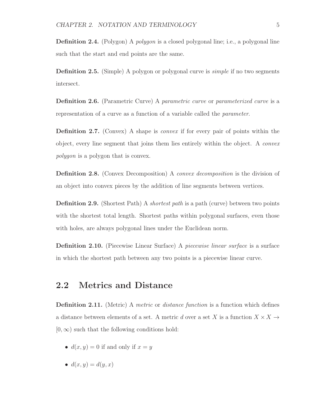**Definition 2.4.** (Polygon) A *polygon* is a closed polygonal line; i.e., a polygonal line such that the start and end points are the same.

Definition 2.5. (Simple) A polygon or polygonal curve is simple if no two segments intersect.

**Definition 2.6.** (Parametric Curve) A parametric curve or parameterized curve is a representation of a curve as a function of a variable called the parameter.

Definition 2.7. (Convex) A shape is convex if for every pair of points within the object, every line segment that joins them lies entirely within the object. A convex polygon is a polygon that is convex.

Definition 2.8. (Convex Decomposition) A convex decomposition is the division of an object into convex pieces by the addition of line segments between vertices.

**Definition 2.9.** (Shortest Path) A *shortest path* is a path (curve) between two points with the shortest total length. Shortest paths within polygonal surfaces, even those with holes, are always polygonal lines under the Euclidean norm.

Definition 2.10. (Piecewise Linear Surface) A piecewise linear surface is a surface in which the shortest path between any two points is a piecewise linear curve.

### 2.2 Metrics and Distance

**Definition 2.11.** (Metric) A *metric* or *distance function* is a function which defines a distance between elements of a set. A metric d over a set X is a function  $X \times X \rightarrow$  $[0, \infty)$  such that the following conditions hold:

- $d(x, y) = 0$  if and only if  $x = y$
- $d(x, y) = d(y, x)$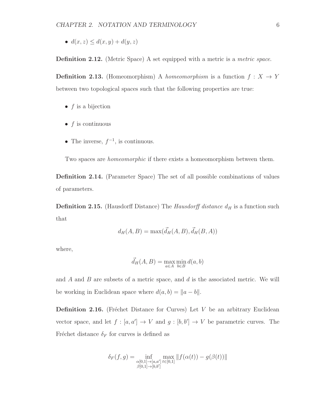•  $d(x, z) \leq d(x, y) + d(y, z)$ 

**Definition 2.12.** (Metric Space) A set equipped with a metric is a *metric space*.

**Definition 2.13.** (Homeomorphism) A homeomorphism is a function  $f: X \rightarrow Y$ between two topological spaces such that the following properties are true:

- $f$  is a bijection
- $\bullet$  f is continuous
- The inverse,  $f^{-1}$ , is continuous.

Two spaces are homeomorphic if there exists a homeomorphism between them.

Definition 2.14. (Parameter Space) The set of all possible combinations of values of parameters.

**Definition 2.15.** (Hausdorff Distance) The *Hausdorff distance*  $d_H$  is a function such that

$$
d_H(A, B) = \max(\vec{d}_H(A, B), \vec{d}_H(B, A))
$$

where,

$$
\vec{d}_H(A, B) = \max_{a \in A} \min_{b \in B} d(a, b)
$$

and  $\ddot{A}$  and  $\ddot{B}$  are subsets of a metric space, and  $\ddot{d}$  is the associated metric. We will be working in Euclidean space where  $d(a, b) = ||a - b||$ .

**Definition 2.16.** (Fréchet Distance for Curves) Let  $V$  be an arbitrary Euclidean vector space, and let  $f : [a, a'] \to V$  and  $g : [b, b'] \to V$  be parametric curves. The Fréchet distance  $\delta_F$  for curves is defined as

$$
\delta_F(f,g) = \inf_{\substack{\alpha[0,1] \to [a,a'] \\ \beta[0,1] \to [b,b']}} \max_{t \in [0,1]} ||f(\alpha(t)) - g(\beta(t))||
$$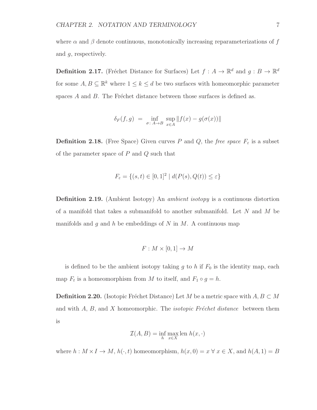where  $\alpha$  and  $\beta$  denote continuous, monotonically increasing reparameterizations of f and g, respectively.

**Definition 2.17.** (Fréchet Distance for Surfaces) Let  $f : A \to \mathbb{R}^d$  and  $g : B \to \mathbb{R}^d$ for some  $A, B \subseteq \mathbb{R}^k$  where  $1 \leq k \leq d$  be two surfaces with homeomorphic parameter spaces  $A$  and  $B$ . The Fréchet distance between those surfaces is defined as.

$$
\delta_F(f,g) = \inf_{\sigma \colon A \to B} \sup_{x \in A} ||f(x) - g(\sigma(x))||
$$

**Definition 2.18.** (Free Space) Given curves P and Q, the free space  $F_{\varepsilon}$  is a subset of the parameter space of  $P$  and  $Q$  such that

$$
F_{\varepsilon} = \{(s, t) \in [0, 1]^2 \mid d(P(s), Q(t)) \le \varepsilon\}
$$

Definition 2.19. (Ambient Isotopy) An *ambient isotopy* is a continuous distortion of a manifold that takes a submanifold to another submanifold. Let  $N$  and  $M$  be manifolds and q and h be embeddings of N in M. A continuous map

$$
F: M \times [0,1] \to M
$$

is defined to be the ambient isotopy taking  $g$  to  $h$  if  $F_0$  is the identity map, each map  $F_t$  is a homeomorphism from M to itself, and  $F_1 \circ g = h$ .

**Definition 2.20.** (Isotopic Fréchet Distance) Let M be a metric space with  $A, B \subset M$ and with  $A, B$ , and X homeomorphic. The *isotopic Fréchet distance* between them is

$$
\mathcal{I}(A, B) = \inf_{h} \max_{x \in X} \text{len } h(x, \cdot)
$$

where  $h: M \times I \to M$ ,  $h(\cdot, t)$  homeomorphism,  $h(x, 0) = x \forall x \in X$ , and  $h(A, 1) = B$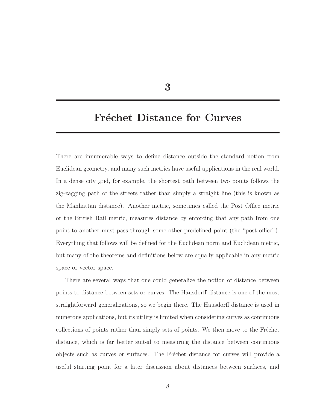3

## Fréchet Distance for Curves

There are innumerable ways to define distance outside the standard notion from Euclidean geometry, and many such metrics have useful applications in the real world. In a dense city grid, for example, the shortest path between two points follows the zig-zagging path of the streets rather than simply a straight line (this is known as the Manhattan distance). Another metric, sometimes called the Post Office metric or the British Rail metric, measures distance by enforcing that any path from one point to another must pass through some other predefined point (the "post office"). Everything that follows will be defined for the Euclidean norm and Euclidean metric, but many of the theorems and definitions below are equally applicable in any metric space or vector space.

There are several ways that one could generalize the notion of distance between points to distance between sets or curves. The Hausdorff distance is one of the most straightforward generalizations, so we begin there. The Hausdorff distance is used in numerous applications, but its utility is limited when considering curves as continuous collections of points rather than simply sets of points. We then move to the Fréchet distance, which is far better suited to measuring the distance between continuous objects such as curves or surfaces. The Fréchet distance for curves will provide a useful starting point for a later discussion about distances between surfaces, and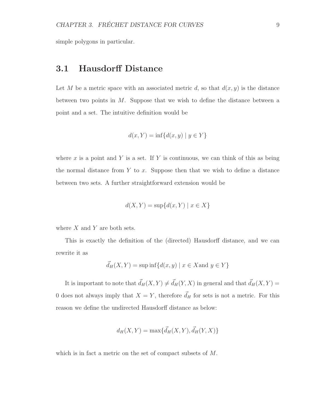simple polygons in particular.

## 3.1 Hausdorff Distance

Let M be a metric space with an associated metric d, so that  $d(x, y)$  is the distance between two points in  $M$ . Suppose that we wish to define the distance between a point and a set. The intuitive definition would be

$$
d(x, Y) = \inf \{ d(x, y) \mid y \in Y \}
$$

where x is a point and Y is a set. If Y is continuous, we can think of this as being the normal distance from  $Y$  to  $x$ . Suppose then that we wish to define a distance between two sets. A further straightforward extension would be

$$
d(X, Y) = \sup \{ d(x, Y) \mid x \in X \}
$$

where  $X$  and  $Y$  are both sets.

This is exactly the definition of the (directed) Hausdorff distance, and we can rewrite it as

$$
\vec{d}_H(X, Y) = \sup \inf \{ d(x, y) \mid x \in X \text{ and } y \in Y \}
$$

It is important to note that  $\vec{d}_H(X, Y) \neq \vec{d}_H(Y, X)$  in general and that  $\vec{d}_H(X, Y) =$ 0 does not always imply that  $X = Y$ , therefore  $\vec{d}_H$  for sets is not a metric. For this reason we define the undirected Hausdorff distance as below:

$$
d_H(X, Y) = \max\{\vec{d}_H(X, Y), \vec{d}_H(Y, X)\}\
$$

which is in fact a metric on the set of compact subsets of M.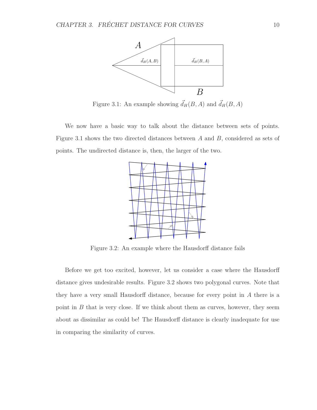

Figure 3.1: An example showing  $\vec{d}_H(B, A)$  and  $\vec{d}_H(B, A)$ 

We now have a basic way to talk about the distance between sets of points. Figure 3.1 shows the two directed distances between A and B, considered as sets of points. The undirected distance is, then, the larger of the two.



Figure 3.2: An example where the Hausdorff distance fails

Before we get too excited, however, let us consider a case where the Hausdorff distance gives undesirable results. Figure 3.2 shows two polygonal curves. Note that they have a very small Hausdorff distance, because for every point in A there is a point in  $B$  that is very close. If we think about them as curves, however, they seem about as dissimilar as could be! The Hausdorff distance is clearly inadequate for use in comparing the similarity of curves.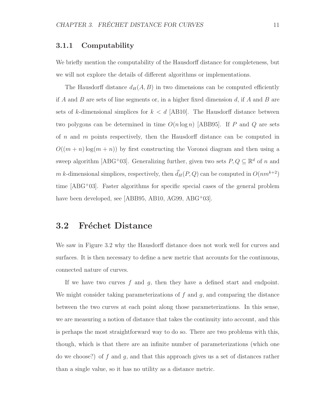#### 3.1.1 Computability

We briefly mention the computability of the Hausdorff distance for completeness, but we will not explore the details of different algorithms or implementations.

The Hausdorff distance  $d_H(A, B)$  in two dimensions can be computed efficiently if A and B are sets of line segments or, in a higher fixed dimension  $d$ , if A and B are sets of k-dimensional simplices for  $k < d$  [AB10]. The Hausdorff distance between two polygons can be determined in time  $O(n \log n)$  [ABB95]. If P and Q are sets of  $n$  and  $m$  points respectively, then the Hausdorff distance can be computed in  $O((m + n) \log(m + n))$  by first constructing the Voronoi diagram and then using a sweep algorithm [ABG<sup>+</sup>03]. Generalizing further, given two sets  $P, Q \subseteq \mathbb{R}^d$  of n and m k-dimensional simplices, respectively, then  $\vec{d}_H(P, Q)$  can be computed in  $O(nm^{k+2})$ time [ABG<sup>+</sup>03]. Faster algorithms for specific special cases of the general problem have been developed, see [ABB95, AB10, AG99, ABG<sup>+</sup>03].

### 3.2 Fréchet Distance

We saw in Figure 3.2 why the Hausdorff distance does not work well for curves and surfaces. It is then necessary to define a new metric that accounts for the continuous, connected nature of curves.

If we have two curves  $f$  and  $g$ , then they have a defined start and endpoint. We might consider taking parameterizations of  $f$  and  $g$ , and comparing the distance between the two curves at each point along those parameterizations. In this sense, we are measuring a notion of distance that takes the continuity into account, and this is perhaps the most straightforward way to do so. There are two problems with this, though, which is that there are an infinite number of parameterizations (which one do we choose?) of f and q, and that this approach gives us a set of distances rather than a single value, so it has no utility as a distance metric.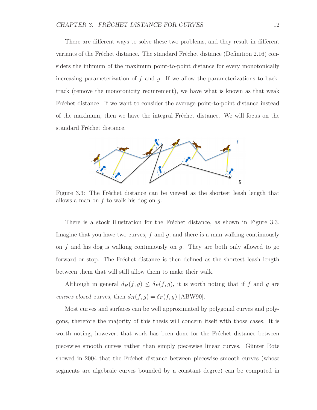There are different ways to solve these two problems, and they result in different variants of the Fréchet distance. The standard Fréchet distance (Definition 2.16) considers the infimum of the maximum point-to-point distance for every monotonically increasing parameterization of  $f$  and  $g$ . If we allow the parameterizations to backtrack (remove the monotonicity requirement), we have what is known as that weak Fréchet distance. If we want to consider the average point-to-point distance instead of the maximum, then we have the integral Fréchet distance. We will focus on the standard Fréchet distance.



Figure 3.3: The Fréchet distance can be viewed as the shortest leash length that allows a man on  $f$  to walk his dog on  $g$ .

There is a stock illustration for the Fréchet distance, as shown in Figure 3.3. Imagine that you have two curves,  $f$  and  $g$ , and there is a man walking continuously on  $f$  and his dog is walking continuously on  $g$ . They are both only allowed to go forward or stop. The Fréchet distance is then defined as the shortest leash length between them that will still allow them to make their walk.

Although in general  $d_H(f, g) \leq \delta_F(f, g)$ , it is worth noting that if f and g are convex closed curves, then  $d_H(f, g) = \delta_F(f, g)$  [ABW90].

Most curves and surfaces can be well approximated by polygonal curves and polygons, therefore the majority of this thesis will concern itself with those cases. It is worth noting, however, that work has been done for the Fréchet distance between piecewise smooth curves rather than simply piecewise linear curves. Günter Rote showed in 2004 that the Fréchet distance between piecewise smooth curves (whose segments are algebraic curves bounded by a constant degree) can be computed in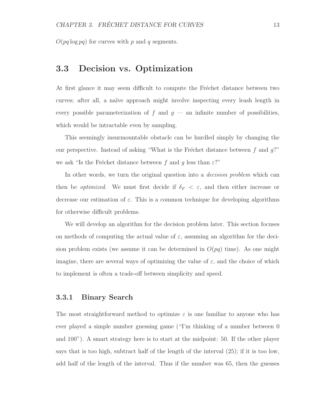$O(pq \log pq)$  for curves with p and q segments.

### 3.3 Decision vs. Optimization

At first glance it may seem difficult to compute the Fréchet distance between two curves; after all, a naïve approach might involve inspecting every leash length in every possible parameterization of  $f$  and  $g$  — an infinite number of possibilities, which would be intractable even by sampling.

This seemingly insurmountable obstacle can be hurdled simply by changing the our perspective. Instead of asking "What is the Fréchet distance between f and  $g$ ?" we ask "Is the Fréchet distance between f and g less than  $\varepsilon$ ?"

In other words, we turn the original question into a *decision problem* which can then be *optimized*. We must first decide if  $\delta_F < \varepsilon$ , and then either increase or decrease our estimation of  $\varepsilon$ . This is a common technique for developing algorithms for otherwise difficult problems.

We will develop an algorithm for the decision problem later. This section focuses on methods of computing the actual value of  $\varepsilon$ , assuming an algorithm for the decision problem exists (we assume it can be determined in  $O(pq)$  time). As one might imagine, there are several ways of optimizing the value of  $\varepsilon$ , and the choice of which to implement is often a trade-off between simplicity and speed.

#### 3.3.1 Binary Search

The most straightforward method to optimize  $\varepsilon$  is one familiar to anyone who has ever played a simple number guessing game ("I'm thinking of a number between 0 and 100"). A smart strategy here is to start at the midpoint: 50. If the other player says that is too high, subtract half of the length of the interval  $(25)$ ; if it is too low, add half of the length of the interval. Thus if the number was 65, then the guesses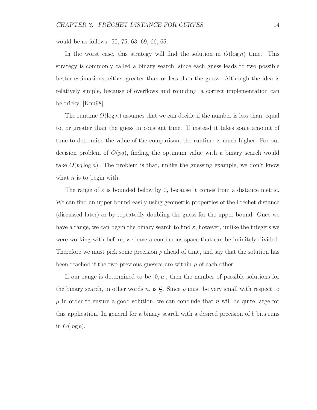would be as follows: 50, 75, 63, 69, 66, 65.

In the worst case, this strategy will find the solution in  $O(\log n)$  time. This strategy is commonly called a binary search, since each guess leads to two possible better estimations, either greater than or less than the guess. Although the idea is relatively simple, because of overflows and rounding, a correct implementation can be tricky. [Knu98].

The runtime  $O(\log n)$  assumes that we can decide if the number is less than, equal to, or greater than the guess in constant time. If instead it takes some amount of time to determine the value of the comparison, the runtime is much higher. For our decision problem of  $O(pq)$ , finding the optimum value with a binary search would take  $O(pq \log n)$ . The problem is that, unlike the guessing example, we don't know what  $n$  is to begin with.

The range of  $\varepsilon$  is bounded below by 0, because it comes from a distance metric. We can find an upper bound easily using geometric properties of the Fréchet distance (discussed later) or by repeatedly doubling the guess for the upper bound. Once we have a range, we can begin the binary search to find  $\varepsilon$ , however, unlike the integers we were working with before, we have a continuous space that can be infinitely divided. Therefore we must pick some precision  $\rho$  ahead of time, and say that the solution has been reached if the two previous guesses are within  $\rho$  of each other.

If our range is determined to be  $[0, \mu]$ , then the number of possible solutions for the binary search, in other words n, is  $\frac{\mu}{\rho}$ . Since  $\rho$  must be very small with respect to  $\mu$  in order to ensure a good solution, we can conclude that n will be quite large for this application. In general for a binary search with a desired precision of b bits runs in  $O(\log b)$ .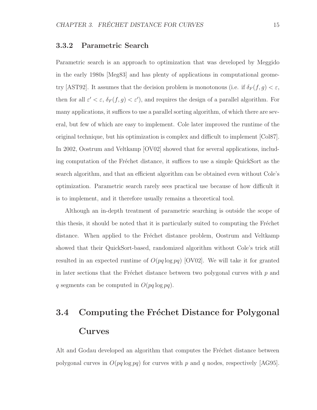#### 3.3.2 Parametric Search

Parametric search is an approach to optimization that was developed by Meggido in the early 1980s [Meg83] and has plenty of applications in computational geometry [AST92]. It assumes that the decision problem is monotonous (i.e. if  $\delta_F(f,g) < \varepsilon$ , then for all  $\varepsilon' < \varepsilon$ ,  $\delta_F(f, g) < \varepsilon'$ , and requires the design of a parallel algorithm. For many applications, it suffices to use a parallel sorting algorithm, of which there are several, but few of which are easy to implement. Cole later improved the runtime of the original technique, but his optimization is complex and difficult to implement [Col87]. In 2002, Oostrum and Veltkamp [OV02] showed that for several applications, including computation of the Fréchet distance, it suffices to use a simple QuickSort as the search algorithm, and that an efficient algorithm can be obtained even without Cole's optimization. Parametric search rarely sees practical use because of how difficult it is to implement, and it therefore usually remains a theoretical tool.

Although an in-depth treatment of parametric searching is outside the scope of this thesis, it should be noted that it is particularly suited to computing the Fréchet distance. When applied to the Fréchet distance problem, Oostrum and Veltkamp showed that their QuickSort-based, randomized algorithm without Cole's trick still resulted in an expected runtime of  $O(pq \log pq)$  [OV02]. We will take it for granted in later sections that the Fréchet distance between two polygonal curves with  $p$  and q segments can be computed in  $O(pq \log pq)$ .

# 3.4 Computing the Fréchet Distance for Polygonal Curves

Alt and Godau developed an algorithm that computes the Fréchet distance between polygonal curves in  $O(pq \log pq)$  for curves with p and q nodes, respectively  $|AG95|$ .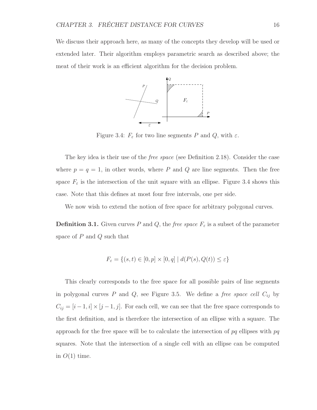We discuss their approach here, as many of the concepts they develop will be used or extended later. Their algorithm employs parametric search as described above; the meat of their work is an efficient algorithm for the decision problem.



Figure 3.4:  $F_{\varepsilon}$  for two line segments P and Q, with  $\varepsilon$ .

The key idea is their use of the *free space* (see Definition 2.18). Consider the case where  $p = q = 1$ , in other words, where P and Q are line segments. Then the free space  $F_{\varepsilon}$  is the intersection of the unit square with an ellipse. Figure 3.4 shows this case. Note that this defines at most four free intervals, one per side.

We now wish to extend the notion of free space for arbitrary polygonal curves.

**Definition 3.1.** Given curves P and Q, the free space  $F_{\varepsilon}$  is a subset of the parameter space of  $P$  and  $Q$  such that

$$
F_{\varepsilon} = \{(s, t) \in [0, p] \times [0, q] \mid d(P(s), Q(t)) \le \varepsilon\}
$$

This clearly corresponds to the free space for all possible pairs of line segments in polygonal curves  $P$  and  $Q$ , see Figure 3.5. We define a free space cell  $C_{ij}$  by  $C_{ij} = [i-1, i] \times [j-1, j]$ . For each cell, we can see that the free space corresponds to the first definition, and is therefore the intersection of an ellipse with a square. The approach for the free space will be to calculate the intersection of  $pq$  ellipses with  $pq$ squares. Note that the intersection of a single cell with an ellipse can be computed in  $O(1)$  time.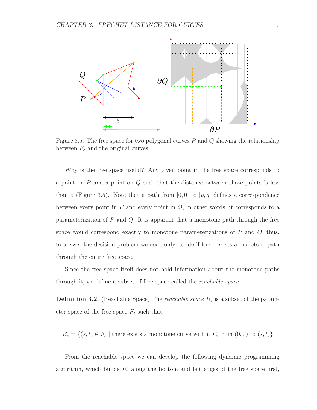

Figure 3.5: The free space for two polygonal curves  $P$  and  $Q$  showing the relationship between  $F_{\varepsilon}$  and the original curves.

Why is the free space useful? Any given point in the free space corresponds to a point on  $P$  and a point on  $Q$  such that the distance between those points is less than  $\varepsilon$  (Figure 3.5). Note that a path from [0, 0] to [p, q] defines a correspondence between every point in  $P$  and every point in  $Q$ , in other words, it corresponds to a parameterization of  $P$  and  $Q$ . It is apparent that a monotone path through the free space would correspond exactly to monotone parameterizations of  $P$  and  $Q$ , thus, to answer the decision problem we need only decide if there exists a monotone path through the entire free space.

Since the free space itself does not hold information about the monotone paths through it, we define a subset of free space called the reachable space.

**Definition 3.2.** (Reachable Space) The *reachable space*  $R_{\varepsilon}$  is a subset of the parameter space of the free space  $F_{\varepsilon}$  such that

 $R_{\varepsilon} = \{(s, t) \in F_{\varepsilon} \mid \text{there exists a monotone curve within } F_{\varepsilon} \text{ from } (0, 0) \text{ to } (s, t)\}\$ 

From the reachable space we can develop the following dynamic programming algorithm, which builds  $R_{\varepsilon}$  along the bottom and left edges of the free space first,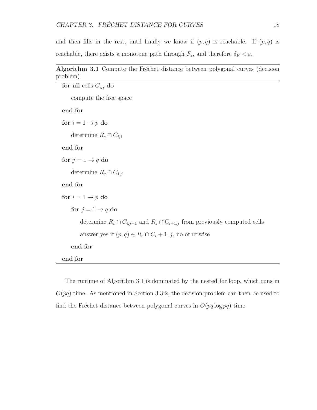and then fills in the rest, until finally we know if  $(p, q)$  is reachable. If  $(p, q)$  is reachable, there exists a monotone path through  $F_{\varepsilon}$ , and therefore  $\delta_F < \varepsilon$ .

| Algorithm 3.1 Compute the Fréchet distance between polygonal curves (decision |  |  |  |  |
|-------------------------------------------------------------------------------|--|--|--|--|
| problem)                                                                      |  |  |  |  |

```
for all cells \mathcal{C}_{i,j} do
     compute the free space
end for
for i = 1 \rightarrow p do
    determine R_\varepsilon \cap C_{i,1}end for
for j = 1 \rightarrow q do
    determine R_{\varepsilon} \cap C_{1,j}end for
for i = 1 \rightarrow p do
    for j=1\rightarrow qdo
         determine R_{\varepsilon} \cap C_{i,j+1} and R_{\varepsilon} \cap C_{i+1,j} from previously computed cells
         answer yes if (p, q) \in R_{\varepsilon} \cap C_i + 1, j, no otherwise
     end for
end for
```
The runtime of Algorithm 3.1 is dominated by the nested for loop, which runs in  $O(pq)$  time. As mentioned in Section 3.3.2, the decision problem can then be used to find the Fréchet distance between polygonal curves in  $O(pq \log pq)$  time.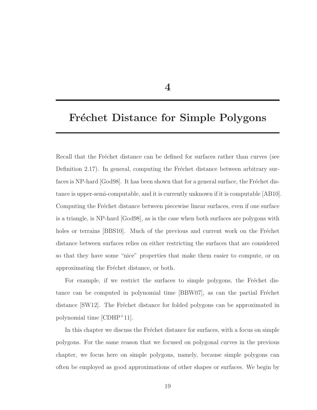4

## Fréchet Distance for Simple Polygons

Recall that the Fréchet distance can be defined for surfaces rather than curves (see Definition 2.17). In general, computing the Fréchet distance between arbitrary surfaces is NP-hard  $\lceil \text{God98} \rceil$ . It has been shown that for a general surface, the Fréchet distance is upper-semi-computable, and it is currently unknown if it is computable [AB10]. Computing the Fréchet distance between piecewise linear surfaces, even if one surface is a triangle, is NP-hard [God98], as is the case when both surfaces are polygons with holes or terrains [BBS10]. Much of the previous and current work on the Fréchet distance between surfaces relies on either restricting the surfaces that are considered so that they have some "nice" properties that make them easier to compute, or on approximating the Fréchet distance, or both.

For example, if we restrict the surfaces to simple polygons, the Fréchet distance can be computed in polynomial time [BBW07], as can the partial Fréchet distance [SW12]. The Fréchet distance for folded polygons can be approximated in polynomial time [CDHP<sup>+</sup>11].

In this chapter we discuss the Fréchet distance for surfaces, with a focus on simple polygons. For the same reason that we focused on polygonal curves in the previous chapter, we focus here on simple polygons, namely, because simple polygons can often be employed as good approximations of other shapes or surfaces. We begin by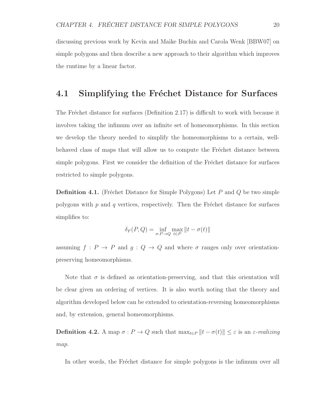discussing previous work by Kevin and Maike Buchin and Carola Wenk [BBW07] on simple polygons and then describe a new approach to their algorithm which improves the runtime by a linear factor.

## 4.1 Simplifying the Fréchet Distance for Surfaces

The Fréchet distance for surfaces (Definition 2.17) is difficult to work with because it involves taking the infimum over an infinite set of homeomorphisms. In this section we develop the theory needed to simplify the homeomorphisms to a certain, wellbehaved class of maps that will allow us to compute the Fréchet distance between simple polygons. First we consider the definition of the Fréchet distance for surfaces restricted to simple polygons.

**Definition 4.1.** (Fréchet Distance for Simple Polygons) Let P and Q be two simple polygons with  $p$  and  $q$  vertices, respectively. Then the Fréchet distance for surfaces simplifies to:

$$
\delta_F(P,Q) = \inf_{\sigma:P \to Q} \max_{t \in P} ||t - \sigma(t)||
$$

assuming  $f : P \to P$  and  $g : Q \to Q$  and where  $\sigma$  ranges only over orientationpreserving homeomorphisms.

Note that  $\sigma$  is defined as orientation-preserving, and that this orientation will be clear given an ordering of vertices. It is also worth noting that the theory and algorithm developed below can be extended to orientation-reversing homeomorphisms and, by extension, general homeomorphisms.

**Definition 4.2.** A map  $\sigma: P \to Q$  such that  $\max_{t \in P} ||t - \sigma(t)|| \leq \varepsilon$  is an  $\varepsilon$ -realizing map.

In other words, the Fréchet distance for simple polygons is the infimum over all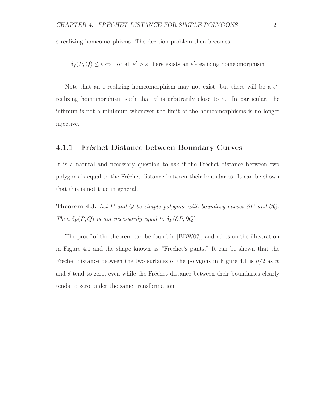$\varepsilon$ -realizing homeomorphisms. The decision problem then becomes

 $\delta_f(P,Q) \leq \varepsilon \Leftrightarrow$  for all  $\varepsilon' > \varepsilon$  there exists an  $\varepsilon'$ -realizing homeomorphism

Note that an  $\varepsilon$ -realizing homeomorphism may not exist, but there will be a  $\varepsilon'$ realizing homomorphism such that  $\varepsilon'$  is arbitrarily close to  $\varepsilon$ . In particular, the infimum is not a minimum whenever the limit of the homeomorphisms is no longer injective.

#### 4.1.1 Fréchet Distance between Boundary Curves

It is a natural and necessary question to ask if the Fréchet distance between two polygons is equal to the Fréchet distance between their boundaries. It can be shown that this is not true in general.

**Theorem 4.3.** Let P and Q be simple polygons with boundary curves  $\partial P$  and  $\partial Q$ . Then  $\delta_F(P,Q)$  is not necessarily equal to  $\delta_F(\partial P,\partial Q)$ 

The proof of the theorem can be found in [BBW07], and relies on the illustration in Figure 4.1 and the shape known as "Fréchet's pants." It can be shown that the Fréchet distance between the two surfaces of the polygons in Figure 4.1 is  $h/2$  as w and  $\delta$  tend to zero, even while the Fréchet distance between their boundaries clearly tends to zero under the same transformation.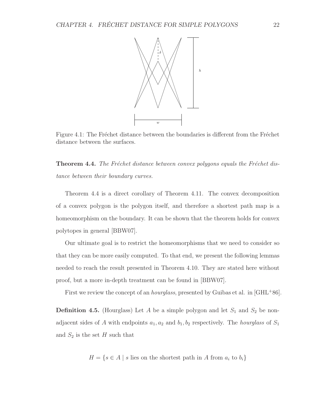

Figure 4.1: The Fréchet distance between the boundaries is different from the Fréchet distance between the surfaces.

**Theorem 4.4.** The Fréchet distance between convex polygons equals the Fréchet distance between their boundary curves.

Theorem 4.4 is a direct corollary of Theorem 4.11. The convex decomposition of a convex polygon is the polygon itself, and therefore a shortest path map is a homeomorphism on the boundary. It can be shown that the theorem holds for convex polytopes in general [BBW07].

Our ultimate goal is to restrict the homeomorphisms that we need to consider so that they can be more easily computed. To that end, we present the following lemmas needed to reach the result presented in Theorem 4.10. They are stated here without proof, but a more in-depth treatment can be found in [BBW07].

First we review the concept of an *hourglass*, presented by Guibas et al. in [GHL+86].

**Definition 4.5.** (Hourglass) Let A be a simple polygon and let  $S_1$  and  $S_2$  be nonadjacent sides of A with endpoints  $a_1, a_2$  and  $b_1, b_2$  respectively. The *hourglass* of  $S_1$ and  $S_2$  is the set H such that

$$
H = \{ s \in A \mid s \text{ lies on the shortest path in } A \text{ from } a_i \text{ to } b_i \}
$$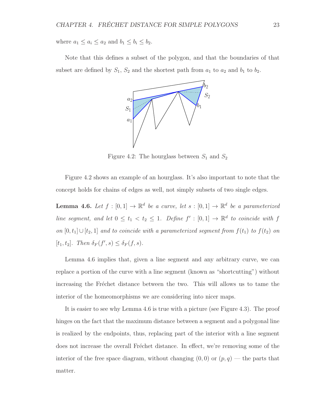where  $a_1 \le a_i \le a_2$  and  $b_1 \le b_i \le b_2$ .

Note that this defines a subset of the polygon, and that the boundaries of that subset are defined by  $S_1$ ,  $S_2$  and the shortest path from  $a_1$  to  $a_2$  and  $b_1$  to  $b_2$ .



Figure 4.2: The hourglass between  $S_1$  and  $S_2$ 

Figure 4.2 shows an example of an hourglass. It's also important to note that the concept holds for chains of edges as well, not simply subsets of two single edges.

**Lemma 4.6.** Let  $f : [0,1] \to \mathbb{R}^d$  be a curve, let  $s : [0,1] \to \mathbb{R}^d$  be a parameterized line segment, and let  $0 \le t_1 < t_2 \le 1$ . Define  $f' : [0,1] \to \mathbb{R}^d$  to coincide with f on  $[0, t_1] \cup [t_2, 1]$  and to coincide with a parameterized segment from  $f(t_1)$  to  $f(t_2)$  on  $[t_1, t_2]$ . Then  $\delta_F(f', s) \leq \delta_F(f, s)$ .

Lemma 4.6 implies that, given a line segment and any arbitrary curve, we can replace a portion of the curve with a line segment (known as "shortcutting") without increasing the Fréchet distance between the two. This will allows us to tame the interior of the homeomorphisms we are considering into nicer maps.

It is easier to see why Lemma 4.6 is true with a picture (see Figure 4.3). The proof hinges on the fact that the maximum distance between a segment and a polygonal line is realized by the endpoints, thus, replacing part of the interior with a line segment does not increase the overall Fréchet distance. In effect, we're removing some of the interior of the free space diagram, without changing  $(0,0)$  or  $(p,q)$  — the parts that matter.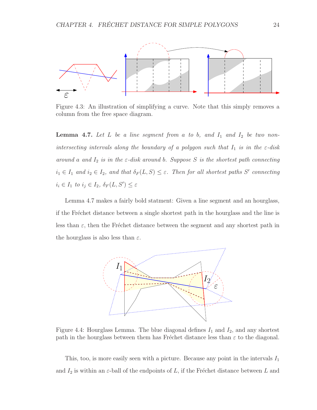

Figure 4.3: An illustration of simplifying a curve. Note that this simply removes a column from the free space diagram.

**Lemma 4.7.** Let  $L$  be a line segment from a to b, and  $I_1$  and  $I_2$  be two nonintersecting intervals along the boundary of a polygon such that  $I_1$  is in the  $\varepsilon$ -disk around a and  $I_2$  is in the  $\varepsilon$ -disk around b. Suppose S is the shortest path connecting  $i_1 \in I_1$  and  $i_2 \in I_2$ , and that  $\delta_F(L, S) \leq \varepsilon$ . Then for all shortest paths S' connecting  $i_i \in I_1$  to  $i_j \in I_2$ ,  $\delta_F(L, S') \leq \varepsilon$ 

Lemma 4.7 makes a fairly bold statment: Given a line segment and an hourglass, if the Fréchet distance between a single shortest path in the hourglass and the line is less than  $\varepsilon$ , then the Fréchet distance between the segment and any shortest path in the hourglass is also less than  $\varepsilon$ .



Figure 4.4: Hourglass Lemma. The blue diagonal defines  $I_1$  and  $I_2$ , and any shortest path in the hourglass between them has Fréchet distance less than  $\varepsilon$  to the diagonal.

This, too, is more easily seen with a picture. Because any point in the intervals  $I_1$ and  $I_2$  is within an  $\varepsilon$ -ball of the endpoints of L, if the Fréchet distance between L and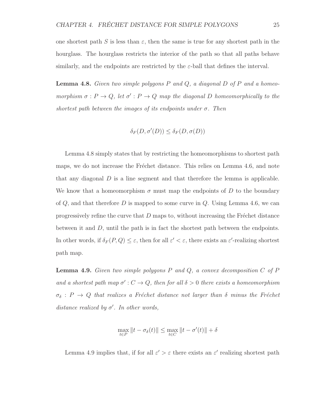one shortest path S is less than  $\varepsilon$ , then the same is true for any shortest path in the hourglass. The hourglass restricts the interior of the path so that all paths behave similarly, and the endpoints are restricted by the  $\varepsilon$ -ball that defines the interval.

**Lemma 4.8.** Given two simple polygons  $P$  and  $Q$ , a diagonal  $D$  of  $P$  and a homeomorphism  $\sigma : P \to Q$ , let  $\sigma' : P \to Q$  map the diagonal D homeomorphically to the shortest path between the images of its endpoints under  $\sigma$ . Then

$$
\delta_F(D, \sigma'(D)) \le \delta_F(D, \sigma(D))
$$

Lemma 4.8 simply states that by restricting the homeomorphisms to shortest path maps, we do not increase the Fréchet distance. This relies on Lemma 4.6, and note that any diagonal  $D$  is a line segment and that therefore the lemma is applicable. We know that a homeomorphism  $\sigma$  must map the endpoints of D to the boundary of  $Q$ , and that therefore D is mapped to some curve in  $Q$ . Using Lemma 4.6, we can progressively refine the curve that  $D$  maps to, without increasing the Fréchet distance between it and  $D$ , until the path is in fact the shortest path between the endpoints. In other words, if  $\delta_F(P,Q) \leq \varepsilon$ , then for all  $\varepsilon' < \varepsilon$ , there exists an  $\varepsilon'$ -realizing shortest path map.

**Lemma 4.9.** Given two simple polygons  $P$  and  $Q$ , a convex decomposition  $C$  of  $P$ and a shortest path map  $\sigma' : C \to Q$ , then for all  $\delta > 0$  there exists a homeomorphism  $\sigma_{\delta}$ :  $P \rightarrow Q$  that realizes a Fréchet distance not larger than  $\delta$  minus the Fréchet distance realized by  $\sigma'$ . In other words,

$$
\max_{t\in P}\|t-\sigma_\delta(t)\|\leq \max_{t\in C}\|t-\sigma'(t)\|+\delta
$$

Lemma 4.9 implies that, if for all  $\varepsilon' > \varepsilon$  there exists an  $\varepsilon'$  realizing shortest path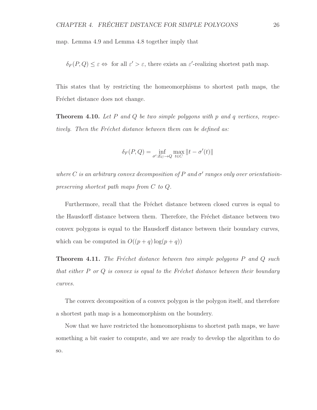map. Lemma 4.9 and Lemma 4.8 together imply that

 $\delta_F(P,Q) \leq \varepsilon \Leftrightarrow$  for all  $\varepsilon' > \varepsilon$ , there exists an  $\varepsilon'$ -realizing shortest path map.

This states that by restricting the homeomorphisms to shortest path maps, the Fréchet distance does not change.

**Theorem 4.10.** Let P and Q be two simple polygons with p and q vertices, respectively. Then the Fréchet distance between them can be defined as:

$$
\delta_F(P,Q) = \inf_{\sigma': E_C \to Q} \max_{t \in C} ||t - \sigma'(t)||
$$

where C is an arbitrary convex decomposition of P and  $\sigma'$  ranges only over orientatioinpreserving shortest path maps from C to Q.

Furthermore, recall that the Fréchet distance between closed curves is equal to the Hausdorff distance between them. Therefore, the Fréchet distance between two convex polygons is equal to the Hausdorff distance between their boundary curves, which can be computed in  $O((p+q) \log(p+q))$ 

**Theorem 4.11.** The Fréchet distance between two simple polygons  $P$  and  $Q$  such that either  $P$  or  $Q$  is convex is equal to the Fréchet distance between their boundary curves.

The convex decomposition of a convex polygon is the polygon itself, and therefore a shortest path map is a homeomorphism on the boundery.

Now that we have restricted the homeomorphisms to shortest path maps, we have something a bit easier to compute, and we are ready to develop the algorithm to do so.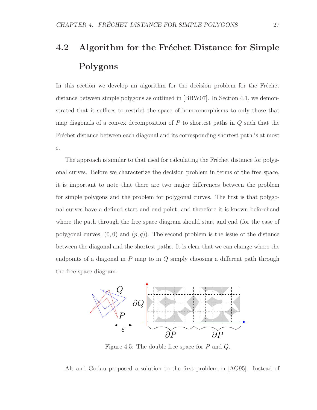# 4.2 Algorithm for the Fréchet Distance for Simple Polygons

In this section we develop an algorithm for the decision problem for the Fréchet distance between simple polygons as outlined in [BBW07]. In Section 4.1, we demonstrated that it suffices to restrict the space of homeomorphisms to only those that map diagonals of a convex decomposition of  $P$  to shortest paths in  $Q$  such that the Fréchet distance between each diagonal and its corresponding shortest path is at most ε.

The approach is similar to that used for calculating the Fréchet distance for polygonal curves. Before we characterize the decision problem in terms of the free space, it is important to note that there are two major differences between the problem for simple polygons and the problem for polygonal curves. The first is that polygonal curves have a defined start and end point, and therefore it is known beforehand where the path through the free space diagram should start and end (for the case of polygonal curves,  $(0, 0)$  and  $(p, q)$ ). The second problem is the issue of the distance between the diagonal and the shortest paths. It is clear that we can change where the endpoints of a diagonal in  $P$  map to in  $Q$  simply choosing a different path through the free space diagram.



Figure 4.5: The double free space for P and Q.

Alt and Godau proposed a solution to the first problem in [AG95]. Instead of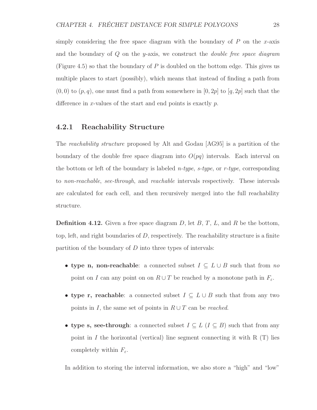simply considering the free space diagram with the boundary of  $P$  on the x-axis and the boundary of  $Q$  on the y-axis, we construct the *double free space diagram* (Figure 4.5) so that the boundary of  $P$  is doubled on the bottom edge. This gives us multiple places to start (possibly), which means that instead of finding a path from  $(0, 0)$  to  $(p, q)$ , one must find a path from somewhere in  $[0, 2p]$  to  $[q, 2p]$  such that the difference in x-values of the start and end points is exactly  $p$ .

#### 4.2.1 Reachability Structure

The reachability structure proposed by Alt and Godau [AG95] is a partition of the boundary of the double free space diagram into  $O(pq)$  intervals. Each interval on the bottom or left of the boundary is labeled *n-type*,  $s$ -type, or  $r$ -type, corresponding to non-reachable, see-through, and reachable intervals respectively. These intervals are calculated for each cell, and then recursively merged into the full reachability structure.

**Definition 4.12.** Given a free space diagram D, let  $B, T, L$ , and R be the bottom, top, left, and right boundaries of  $D$ , respectively. The reachability structure is a finite partition of the boundary of  $D$  into three types of intervals:

- type n, non-reachable: a connected subset  $I \subseteq L \cup B$  such that from no point on I can any point on on  $R \cup T$  be reached by a monotone path in  $F_{\varepsilon}$ .
- type r, reachable: a connected subset  $I \subseteq L \cup B$  such that from any two points in I, the same set of points in  $R \cup T$  can be reached.
- type s, see-through: a connected subset  $I \subseteq L$  ( $I \subseteq B$ ) such that from any point in I the horizontal (vertical) line segment connecting it with  $R(T)$  lies completely within  $F_{\varepsilon}$ .

In addition to storing the interval information, we also store a "high" and "low"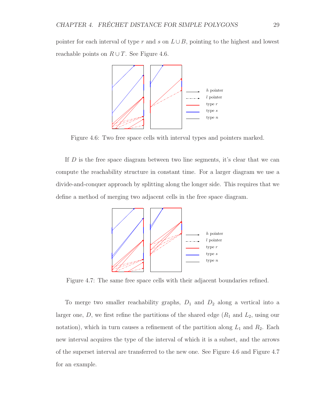pointer for each interval of type r and s on  $L \cup B$ , pointing to the highest and lowest reachable points on  $R \cup T$ . See Figure 4.6.



Figure 4.6: Two free space cells with interval types and pointers marked.

If D is the free space diagram between two line segments, it's clear that we can compute the reachability structure in constant time. For a larger diagram we use a divide-and-conquer approach by splitting along the longer side. This requires that we define a method of merging two adjacent cells in the free space diagram.



Figure 4.7: The same free space cells with their adjacent boundaries refined.

To merge two smaller reachability graphs,  $D_1$  and  $D_2$  along a vertical into a larger one,  $D$ , we first refine the partitions of the shared edge  $(R_1 \text{ and } L_2)$ , using our notation), which in turn causes a refinement of the partition along  $L_1$  and  $R_2$ . Each new interval acquires the type of the interval of which it is a subset, and the arrows of the superset interval are transferred to the new one. See Figure 4.6 and Figure 4.7 for an example.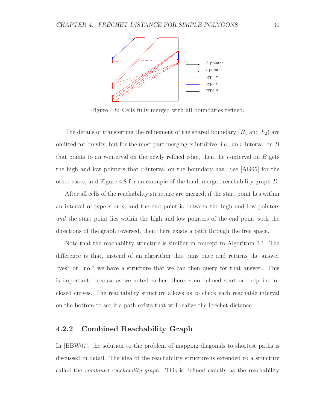

Figure 4.8: Cells fully merged with all boundaries refined.

The details of transferring the refinement of the shared boundary  $(R_1 \text{ and } L_2)$  are omitted for brevity, but for the most part merging is intuitive; i.e., an  $r$ -interval on  $B$ that points to an r-interval on the newly refined edge, then the r-interval on  $B$  gets the high and low pointers that r-interval on the boundary has. See  $[AG95]$  for the other cases, and Figure 4.8 for an example of the final, merged reachability graph D.

After all cells of the reachability structure are merged, if the start point lies within an interval of type  $r$  or  $s$ , and the end point is between the high and low pointers and the start point lies within the high and low pointers of the end point with the directions of the graph reversed, then there exists a path through the free space.

Note that the reachability structure is similiar in concept to Algorithm 3.1. The difference is that, instead of an algorithm that runs once and returns the answer "yes" or "no," we have a structure that we can then query for that answer. This is important, because as we noted earlier, there is no defined start or endpoint for closed curves. The reachability structure allows us to check each reachable interval on the bottom to see if a path exists that will realize the Fréchet distance.

#### 4.2.2 Combined Reachability Graph

In [BBW07], the solution to the problem of mapping diagonals to shortest paths is discussed in detail. The idea of the reachability structure is extended to a structure called the combined reachability graph. This is defined exactly as the reachability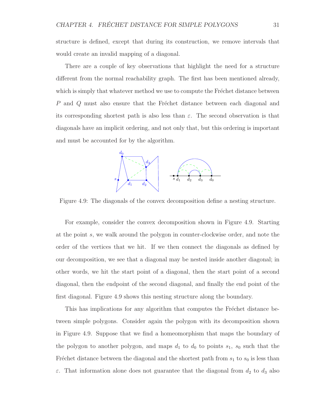structure is defined, except that during its construction, we remove intervals that would create an invalid mapping of a diagonal.

There are a couple of key observations that highlight the need for a structure different from the normal reachability graph. The first has been mentioned already, which is simply that whatever method we use to compute the Fréchet distance between  $P$  and  $Q$  must also ensure that the Fréchet distance between each diagonal and its corresponding shortest path is also less than  $\varepsilon$ . The second observation is that diagonals have an implicit ordering, and not only that, but this ordering is important and must be accounted for by the algorithm.



Figure 4.9: The diagonals of the convex decomposition define a nesting structure.

For example, consider the convex decomposition shown in Figure 4.9. Starting at the point s, we walk around the polygon in counter-clockwise order, and note the order of the vertices that we hit. If we then connect the diagonals as defined by our decomposition, we see that a diagonal may be nested inside another diagonal; in other words, we hit the start point of a diagonal, then the start point of a second diagonal, then the endpoint of the second diagonal, and finally the end point of the first diagonal. Figure 4.9 shows this nesting structure along the boundary.

This has implications for any algorithm that computes the Fréchet distance between simple polygons. Consider again the polygon with its decomposition shown in Figure 4.9. Suppose that we find a homeomorphism that maps the boundary of the polygon to another polygon, and maps  $d_1$  to  $d_0$  to points  $s_1$ ,  $s_0$  such that the Fréchet distance between the diagonal and the shortest path from  $s_1$  to  $s_0$  is less than  $\varepsilon$ . That information alone does not guarantee that the diagonal from  $d_2$  to  $d_3$  also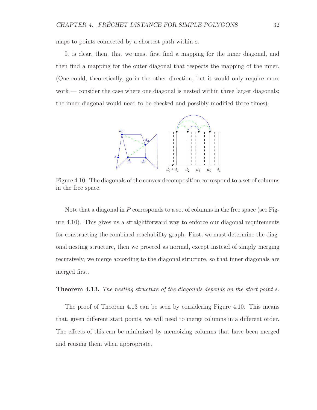maps to points connected by a shortest path within  $\varepsilon$ .

It is clear, then, that we must first find a mapping for the inner diagonal, and then find a mapping for the outer diagonal that respects the mapping of the inner. (One could, theoretically, go in the other direction, but it would only require more work — consider the case where one diagonal is nested within three larger diagonals; the inner diagonal would need to be checked and possibly modified three times).



Figure 4.10: The diagonals of the convex decomposition correspond to a set of columns in the free space.

Note that a diagonal in P corresponds to a set of columns in the free space (see Figure 4.10). This gives us a straightforward way to enforce our diagonal requirements for constructing the combined reachability graph. First, we must determine the diagonal nesting structure, then we proceed as normal, except instead of simply merging recursively, we merge according to the diagonal structure, so that inner diagonals are merged first.

#### **Theorem 4.13.** The nesting structure of the diagonals depends on the start point s.

The proof of Theorem 4.13 can be seen by considering Figure 4.10. This means that, given different start points, we will need to merge columns in a different order. The effects of this can be minimized by memoizing columns that have been merged and reusing them when appropriate.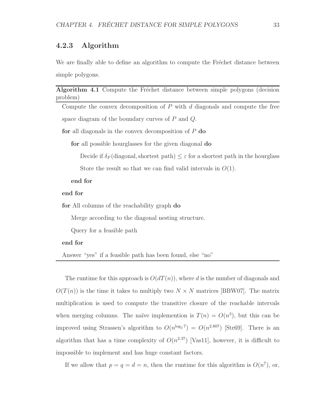#### 4.2.3 Algorithm

We are finally able to define an algorithm to compute the Fréchet distance between simple polygons.

#### Algorithm 4.1 Compute the Fréchet distance between simple polygons (decision problem)

Compute the convex decomposition of  $P$  with  $d$  diagonals and compute the free space diagram of the boundary curves of  $P$  and  $Q$ .

for all diagonals in the convex decomposition of  $P$  do

for all possible hourglasses for the given diagonal do

Decide if  $\delta_F$  (diagonal, shortest path)  $\leq \varepsilon$  for a shortest path in the hourglass

Store the result so that we can find valid intervals in  $O(1)$ .

end for

#### end for

for All columns of the reachability graph do

Merge according to the diagonal nesting structure.

Query for a feasible path

#### end for

Answer "yes" if a feasible path has been found, else "no"

The runtime for this approach is  $O(dT(n))$ , where d is the number of diagonals and  $O(T(n))$  is the time it takes to multiply two  $N \times N$  matrices [BBW07]. The matrix multiplication is used to compute the transitive closure of the reachable intervals when merging columns. The naïve implemention is  $T(n) = O(n^3)$ , but this can be improved using Strassen's algorithm to  $O(n^{\log_2 7}) = O(n^{2.807})$  [Str69]. There is an algorithm that has a time complexity of  $O(n^{2.37})$  [Vas11], however, it is difficult to impossible to implement and has huge constant factors.

If we allow that  $p = q = d = n$ , then the runtime for this algorithm is  $O(n^7)$ , or,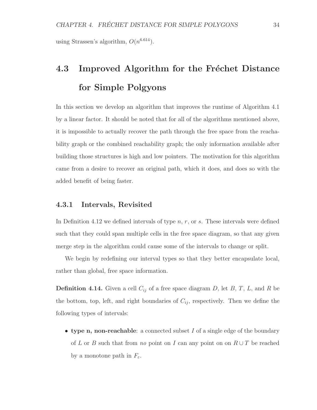using Strassen's algorithm,  $O(n^{6.614})$ .

# 4.3 Improved Algorithm for the Fréchet Distance for Simple Polgyons

In this section we develop an algorithm that improves the runtime of Algorithm 4.1 by a linear factor. It should be noted that for all of the algorithms mentioned above, it is impossible to actually recover the path through the free space from the reachability graph or the combined reachability graph; the only information available after building those structures is high and low pointers. The motivation for this algorithm came from a desire to recover an original path, which it does, and does so with the added benefit of being faster.

#### 4.3.1 Intervals, Revisited

In Definition 4.12 we defined intervals of type  $n, r,$  or  $s$ . These intervals were defined such that they could span multiple cells in the free space diagram, so that any given merge step in the algorithm could cause some of the intervals to change or split.

We begin by redefining our interval types so that they better encapsulate local, rather than global, free space information.

**Definition 4.14.** Given a cell  $C_{ij}$  of a free space diagram D, let B, T, L, and R be the bottom, top, left, and right boundaries of  $C_{ij}$ , respectively. Then we define the following types of intervals:

• type n, non-reachable: a connected subset  $I$  of a single edge of the boundary of L or B such that from no point on I can any point on on  $R \cup T$  be reached by a monotone path in  $F_{\varepsilon}$ .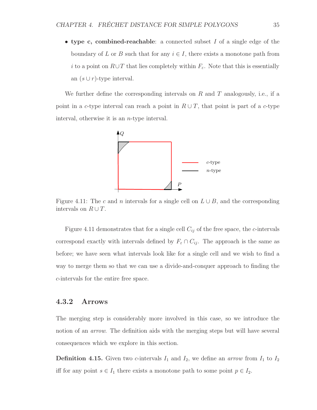• type c, combined-reachable: a connected subset I of a single edge of the boundary of L or B such that for any  $i \in I$ , there exists a monotone path from i to a point on  $R\cup T$  that lies completely within  $F_{\varepsilon}$ . Note that this is essentially an  $(s \cup r)$ -type interval.

We further define the corresponding intervals on R and T analogously, i.e., if a point in a c-type interval can reach a point in  $R \cup T$ , that point is part of a c-type interval, otherwise it is an n-type interval.



Figure 4.11: The c and n intervals for a single cell on  $L \cup B$ , and the corresponding intervals on  $R \cup T$ .

Figure 4.11 demonstrates that for a single cell  $C_{ij}$  of the free space, the c-intervals correspond exactly with intervals defined by  $F_{\varepsilon} \cap C_{ij}$ . The approach is the same as before; we have seen what intervals look like for a single cell and we wish to find a way to merge them so that we can use a divide-and-conquer approach to finding the c-intervals for the entire free space.

#### 4.3.2 Arrows

The merging step is considerably more involved in this case, so we introduce the notion of an *arrow*. The definition aids with the merging steps but will have several consequences which we explore in this section.

**Definition 4.15.** Given two c-intervals  $I_1$  and  $I_2$ , we define an arrow from  $I_1$  to  $I_2$ iff for any point  $s \in I_1$  there exists a monotone path to some point  $p \in I_2$ .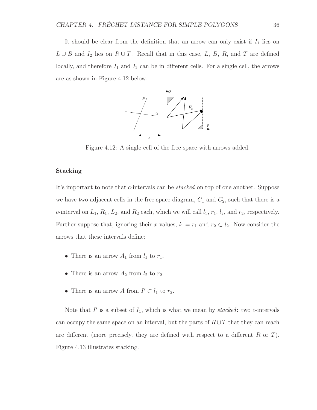It should be clear from the definition that an arrow can only exist if  $I_1$  lies on  $L \cup B$  and  $I_2$  lies on  $R \cup T$ . Recall that in this case, L, B, R, and T are defined locally, and therefore  $I_1$  and  $I_2$  can be in different cells. For a single cell, the arrows are as shown in Figure 4.12 below.



Figure 4.12: A single cell of the free space with arrows added.

#### Stacking

It's important to note that *c*-intervals can be *stacked* on top of one another. Suppose we have two adjacent cells in the free space diagram,  $C_1$  and  $C_2$ , such that there is a c-interval on  $L_1$ ,  $R_1$ ,  $L_2$ , and  $R_2$  each, which we will call  $l_1$ ,  $r_1$ ,  $l_2$ , and  $r_2$ , respectively. Further suppose that, ignoring their x-values,  $l_1 = r_1$  and  $r_2 \subset l_2$ . Now consider the arrows that these intervals define:

- There is an arrow  $A_1$  from  $l_1$  to  $r_1$ .
- There is an arrow  $A_2$  from  $l_2$  to  $r_2$ .
- There is an arrow A from  $I' \subset l_1$  to  $r_2$ .

Note that  $I'$  is a subset of  $I_1$ , which is what we mean by stacked: two c-intervals can occupy the same space on an interval, but the parts of  $R \cup T$  that they can reach are different (more precisely, they are defined with respect to a different  $R$  or  $T$ ). Figure 4.13 illustrates stacking.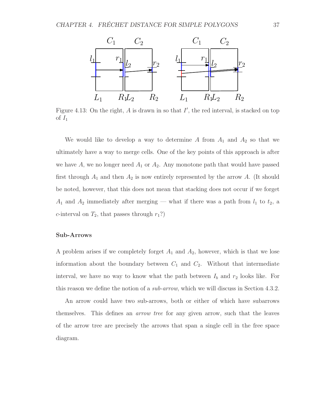

Figure 4.13: On the right,  $A$  is drawn in so that  $I'$ , the red interval, is stacked on top of  $I_1$ 

We would like to develop a way to determine A from  $A_1$  and  $A_2$  so that we ultimately have a way to merge cells. One of the key points of this approach is after we have A, we no longer need  $A_1$  or  $A_2$ . Any monotone path that would have passed first through  $A_1$  and then  $A_2$  is now entirely represented by the arrow A. (It should be noted, however, that this does not mean that stacking does not occur if we forget  $A_1$  and  $A_2$  immediately after merging — what if there was a path from  $l_1$  to  $t_2$ , a c-interval on  $T_2$ , that passes through  $r_1$ ?)

#### Sub-Arrows

A problem arises if we completely forget  $A_1$  and  $A_2$ , however, which is that we lose information about the boundary between  $C_1$  and  $C_2$ . Without that intermediate interval, we have no way to know what the path between  $I_b$  and  $r_2$  looks like. For this reason we define the notion of a *sub-arrow*, which we will discuss in Section 4.3.2.

An arrow could have two sub-arrows, both or either of which have subarrows themselves. This defines an *arrow tree* for any given arrow, such that the leaves of the arrow tree are precisely the arrows that span a single cell in the free space diagram.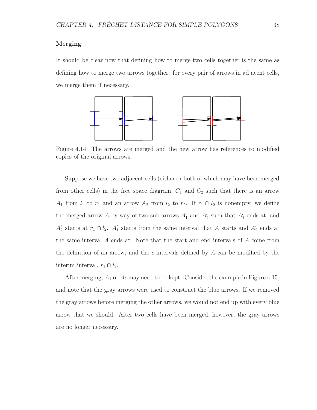#### Merging

It should be clear now that defining how to merge two cells together is the same as defining how to merge two arrows together: for every pair of arrows in adjacent cells, we merge them if necessary.



Figure 4.14: The arrows are merged and the new arrow has references to modified copies of the original arrows.

Suppose we have two adjacent cells (either or both of which may have been merged from other cells) in the free space diagram,  $C_1$  and  $C_2$  such that there is an arrow A<sub>1</sub> from  $l_1$  to  $r_1$  and an arrow  $A_2$  from  $l_2$  to  $r_2$ . If  $r_1 \cap l_2$  is nonempty, we define the merged arrow A by way of two sub-arrows  $A'_1$  and  $A'_2$  such that  $A'_1$  ends at, and  $A_2'$  $\frac{1}{2}$  starts at  $r_1 \cap l_2$ .  $A'_1$  $\frac{1}{1}$  starts from the same interval that A starts and  $A_2'$  $\frac{7}{2}$  ends at the same interval A ends at. Note that the start and end intervals of A come from the definition of an arrow; and the c-intervals defined by A can be modified by the interim interval,  $r_1 \cap l_2$ .

After merging,  $A_1$  or  $A_2$  may need to be kept. Consider the example in Figure 4.15, and note that the gray arrows were used to construct the blue arrows. If we removed the gray arrows before merging the other arrows, we would not end up with every blue arrow that we should. After two cells have been merged, however, the gray arrows are no longer necessary.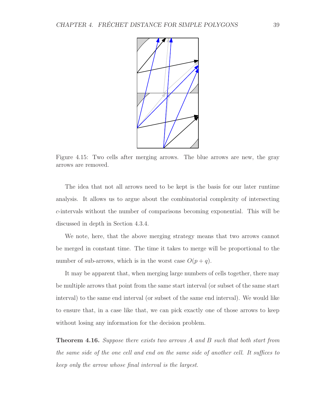

Figure 4.15: Two cells after merging arrows. The blue arrows are new, the gray arrows are removed.

The idea that not all arrows need to be kept is the basis for our later runtime analysis. It allows us to argue about the combinatorial complexity of intersecting c-intervals without the number of comparisons becoming exponential. This will be discussed in depth in Section 4.3.4.

We note, here, that the above merging strategy means that two arrows cannot be merged in constant time. The time it takes to merge will be proportional to the number of sub-arrows, which is in the worst case  $O(p+q)$ .

It may be apparent that, when merging large numbers of cells together, there may be multiple arrows that point from the same start interval (or subset of the same start interval) to the same end interval (or subset of the same end interval). We would like to ensure that, in a case like that, we can pick exactly one of those arrows to keep without losing any information for the decision problem.

**Theorem 4.16.** Suppose there exists two arrows A and B such that both start from the same side of the one cell and end on the same side of another cell. It suffices to keep only the arrow whose final interval is the largest.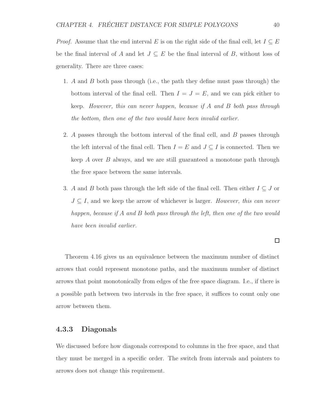*Proof.* Assume that the end interval E is on the right side of the final cell, let  $I \subseteq E$ be the final interval of A and let  $J \subseteq E$  be the final interval of B, without loss of generality. There are three cases:

- 1. A and B both pass through (i.e., the path they define must pass through) the bottom interval of the final cell. Then  $I = J = E$ , and we can pick either to keep. However, this can never happen, because if A and B both pass through the bottom, then one of the two would have been invalid earlier.
- 2. A passes through the bottom interval of the final cell, and B passes through the left interval of the final cell. Then  $I = E$  and  $J \subseteq I$  is connected. Then we keep A over B always, and we are still guaranteed a monotone path through the free space between the same intervals.
- 3. A and B both pass through the left side of the final cell. Then either  $I \subseteq J$  or  $J \subseteq I$ , and we keep the arrow of whichever is larger. However, this can never happen, because if A and B both pass through the left, then one of the two would have been invalid earlier.

#### $\Box$

Theorem 4.16 gives us an equivalence between the maximum number of distinct arrows that could represent monotone paths, and the maximum number of distinct arrows that point monotonically from edges of the free space diagram. I.e., if there is a possible path between two intervals in the free space, it suffices to count only one arrow between them.

#### 4.3.3 Diagonals

We discussed before how diagonals correspond to columns in the free space, and that they must be merged in a specific order. The switch from intervals and pointers to arrows does not change this requirement.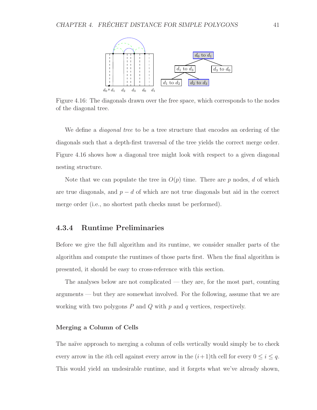

Figure 4.16: The diagonals drawn over the free space, which corresponds to the nodes of the diagonal tree.

We define a *diagonal tree* to be a tree structure that encodes an ordering of the diagonals such that a depth-first traversal of the tree yields the correct merge order. Figure 4.16 shows how a diagonal tree might look with respect to a given diagonal nesting structure.

Note that we can populate the tree in  $O(p)$  time. There are p nodes, d of which are true diagonals, and  $p - d$  of which are not true diagonals but aid in the correct merge order (i.e., no shortest path checks must be performed).

#### 4.3.4 Runtime Preliminaries

Before we give the full algorithm and its runtime, we consider smaller parts of the algorithm and compute the runtimes of those parts first. When the final algorithm is presented, it should be easy to cross-reference with this section.

The analyses below are not complicated — they are, for the most part, counting arguments — but they are somewhat involved. For the following, assume that we are working with two polygons  $P$  and  $Q$  with  $p$  and  $q$  vertices, respectively.

#### Merging a Column of Cells

The naïve approach to merging a column of cells vertically would simply be to check every arrow in the *i*th cell against every arrow in the  $(i+1)$ <sup>th</sup> cell for every  $0 \le i \le q$ . This would yield an undesirable runtime, and it forgets what we've already shown,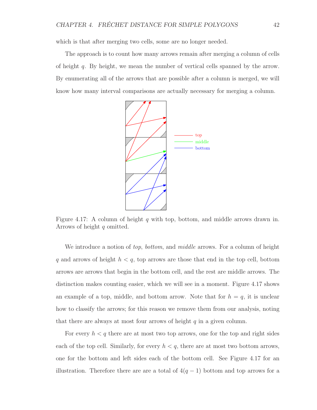which is that after merging two cells, some are no longer needed.

The approach is to count how many arrows remain after merging a column of cells of height q. By height, we mean the number of vertical cells spanned by the arrow. By enumerating all of the arrows that are possible after a column is merged, we will know how many interval comparisons are actually necessary for merging a column.



Figure 4.17: A column of height  $q$  with top, bottom, and middle arrows drawn in. Arrows of height q omitted.

We introduce a notion of top, bottom, and middle arrows. For a column of height q and arrows of height  $h < q$ , top arrows are those that end in the top cell, bottom arrows are arrows that begin in the bottom cell, and the rest are middle arrows. The distinction makes counting easier, which we will see in a moment. Figure 4.17 shows an example of a top, middle, and bottom arrow. Note that for  $h = q$ , it is unclear how to classify the arrows; for this reason we remove them from our analysis, noting that there are always at most four arrows of height  $q$  in a given column.

For every  $h < q$  there are at most two top arrows, one for the top and right sides each of the top cell. Similarly, for every  $h < q$ , there are at most two bottom arrows, one for the bottom and left sides each of the bottom cell. See Figure 4.17 for an illustration. Therefore there are are a total of  $4(q-1)$  bottom and top arrows for a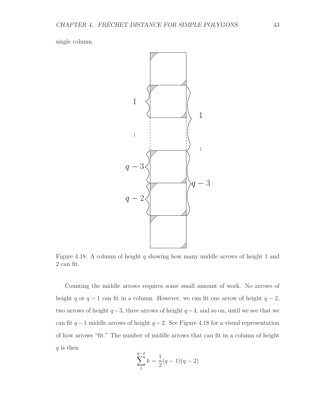single column.



Figure 4.18: A column of height q showing how many middle arrows of height 1 and 2 can fit.

Counting the middle arrows requires some small amount of work. No arrows of height q or  $q - 1$  can fit in a column. However, we can fit one arrow of height  $q - 2$ , two arrows of height  $q-3$ , three arrows of height  $q-4$ , and so on, until we see that we can fit  $q-1$  middle arrows of height  $q-2$ . See Figure 4.18 for a visual representation of how arrows "fit." The number of middle arrows that can fit in a column of height  $q$  is then

$$
\sum_{1}^{q-2} k = \frac{1}{2}(q-1)(q-2)
$$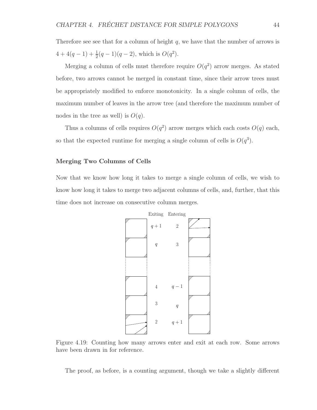Therefore see see that for a column of height  $q$ , we have that the number of arrows is  $4+4(q-1)+\frac{1}{2}(q-1)(q-2)$ , which is  $O(q^2)$ .

Merging a column of cells must therefore require  $O(q^2)$  arrow merges. As stated before, two arrows cannot be merged in constant time, since their arrow trees must be appropriately modified to enforce monotonicity. In a single column of cells, the maximum number of leaves in the arrow tree (and therefore the maximum number of nodes in the tree as well) is  $O(q)$ .

Thus a columns of cells requires  $O(q^2)$  arrow merges which each costs  $O(q)$  each, so that the expected runtime for merging a single column of cells is  $O(q^3)$ .

#### Merging Two Columns of Cells

Now that we know how long it takes to merge a single column of cells, we wish to know how long it takes to merge two adjacent columns of cells, and, further, that this time does not increase on consecutive column merges.



Figure 4.19: Counting how many arrows enter and exit at each row. Some arrows have been drawn in for reference.

The proof, as before, is a counting argument, though we take a slightly different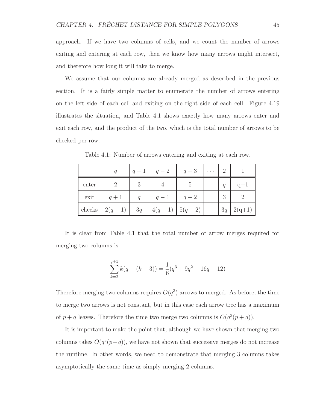approach. If we have two columns of cells, and we count the number of arrows exiting and entering at each row, then we know how many arrows might intersect, and therefore how long it will take to merge.

We assume that our columns are already merged as described in the previous section. It is a fairly simple matter to enumerate the number of arrows entering on the left side of each cell and exiting on the right side of each cell. Figure 4.19 illustrates the situation, and Table 4.1 shows exactly how many arrows enter and exit each row, and the product of the two, which is the total number of arrows to be checked per row.

|       |                                    | $ q-1 $ $q-2$ | $\begin{vmatrix} q-3 & \cdots \end{vmatrix}$ | $\overline{2}$ |                  |
|-------|------------------------------------|---------------|----------------------------------------------|----------------|------------------|
| enter |                                    |               |                                              | q              | $q+1$            |
| exit  | $q+1$                              | $q-1$         | $q-2$                                        | 3              |                  |
|       | checks $2(q+1)$ 3q $4(q-1)$ 5(q-2) |               |                                              |                | $3q \mid 2(q+1)$ |

Table 4.1: Number of arrows entering and exiting at each row.

It is clear from Table 4.1 that the total number of arrow merges required for merging two columns is

$$
\sum_{k=2}^{q+1} k(q - (k-3)) = \frac{1}{6}(q^3 + 9q^2 - 16q - 12)
$$

Therefore merging two columns requires  $O(q^3)$  arrows to merged. As before, the time to merge two arrows is not constant, but in this case each arrow tree has a maximum of  $p + q$  leaves. Therefore the time two merge two columns is  $O(q^3(p+q))$ .

It is important to make the point that, although we have shown that merging two columns takes  $O(q^3(p+q))$ , we have not shown that successive merges do not increase the runtime. In other words, we need to demonstrate that merging 3 columns takes asymptotically the same time as simply merging 2 columns.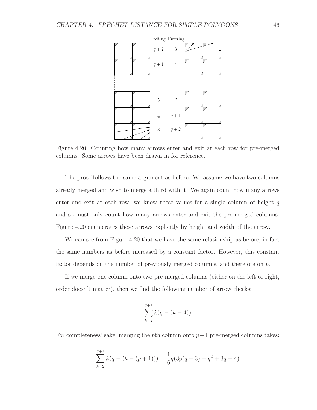

Figure 4.20: Counting how many arrows enter and exit at each row for pre-merged columns. Some arrows have been drawn in for reference.

The proof follows the same argument as before. We assume we have two columns already merged and wish to merge a third with it. We again count how many arrows enter and exit at each row; we know these values for a single column of height  $q$ and so must only count how many arrows enter and exit the pre-merged columns. Figure 4.20 enumerates these arrows explicitly by height and width of the arrow.

We can see from Figure 4.20 that we have the same relationship as before, in fact the same numbers as before increased by a constant factor. However, this constant factor depends on the number of previously merged columns, and therefore on p.

If we merge one column onto two pre-merged columns (either on the left or right, order doesn't matter), then we find the following number of arrow checks:

$$
\sum_{k=2}^{q+1} k(q - (k - 4))
$$

For completeness' sake, merging the pth column onto  $p+1$  pre-merged columns takes:

$$
\sum_{k=2}^{q+1} k(q - (k - (p+1))) = \frac{1}{6}q(3p(q+3) + q^2 + 3q - 4)
$$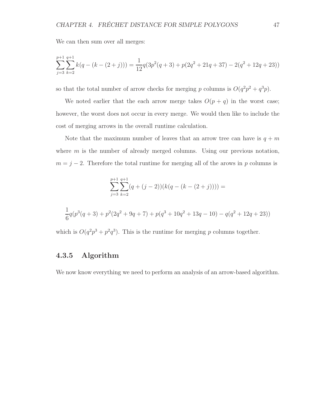We can then sum over all merges:

$$
\sum_{j=3}^{p+1} \sum_{k=2}^{q+1} k(q - (k - (2+j))) = \frac{1}{12} q(3p^2(q+3) + p(2q^2 + 21q + 37) - 2(q^2 + 12q + 23))
$$

so that the total number of arrow checks for merging p columns is  $O(q^2p^2+q^3p)$ .

We noted earlier that the each arrow merge takes  $O(p+q)$  in the worst case; however, the worst does not occur in every merge. We would then like to include the cost of merging arrows in the overall runtime calculation.

Note that the maximum number of leaves that an arrow tree can have is  $q + m$ where  $m$  is the number of already merged columns. Using our previous notation,  $m = j - 2$ . Therefore the total runtime for merging all of the arows in p columns is

$$
\sum_{j=3}^{p+1} \sum_{k=2}^{q+1} (q + (j-2))(k(q - (k - (2+j)))) =
$$
  

$$
\frac{1}{6}q(p^3(q+3) + p^2(2q^2 + 9q + 7) + p(q^3 + 10q^2 + 13q - 10) - q(q^2 + 12q + 23))
$$

which is  $O(q^2p^3 + p^2q^3)$ . This is the runtime for merging p columns together.

### 4.3.5 Algorithm

We now know everything we need to perform an analysis of an arrow-based algorithm.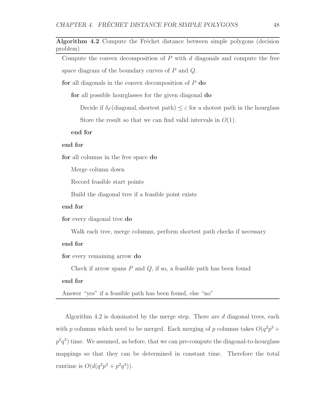Algorithm 4.2 Compute the Fréchet distance between simple polygons (decision problem)

Compute the convex decomposition of  $P$  with  $d$  diagonals and compute the free space diagram of the boundary curves of  $P$  and  $Q$ .

for all diagonals in the convex decomposition of  $P$  do

for all possible hourglasses for the given diagonal do

Decide if  $\delta_F$  (diagonal, shortest path)  $\leq \varepsilon$  for a shotest path in the hourglass

Store the result so that we can find valid intervals in  $O(1)$ .

end for

#### end for

for all columns in the free space do

Merge column down

Record feasible start points

Build the diagonal tree if a feasible point exists

#### end for

for every diagonal tree do

Walk each tree, merge columns, perform shortest path checks if necessary

#### end for

for every remaining arrow do

Check if arrow spans  $P$  and  $Q$ , if so, a feasible path has been found

#### end for

Answer "yes" if a feasible path has been found, else "no"

Algorithm 4.2 is dominated by the merge step. There are  $d$  diagonal trees, each with p columns which need to be merged. Each merging of p columns takes  $O(q^2p^3 +$  $p^2q^3$ ) time. We assumed, as before, that we can pre-compute the diagonal-to-hourglass mappings so that they can be determined in constant time. Therefore the total runtime is  $O(d(q^2p^3 + p^2q^3))$ .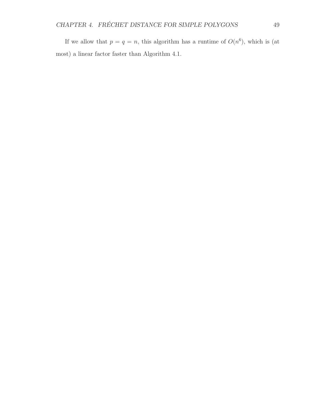If we allow that  $p = q = n$ , this algorithm has a runtime of  $O(n^6)$ , which is (at most) a linear factor faster than Algorithm 4.1.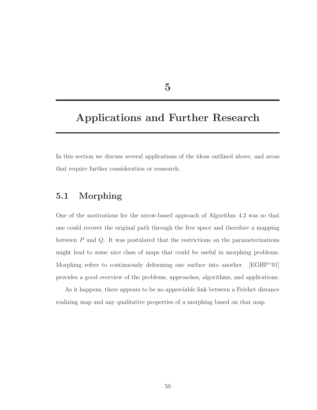5

# Applications and Further Research

In this section we discuss several applications of the ideas outlined above, and areas that require further consideration or reasearch.

## 5.1 Morphing

One of the motivations for the arrow-based approach of Algorithm 4.2 was so that one could recover the original path through the free space and therefore a mapping between  $P$  and  $Q$ . It was postulated that the restrictions on the parameterizations might lead to some nice class of maps that could be useful in morphing problems. Morphing refers to continuously deforming one surface into another.  $[EGHP^+01]$ provides a good overview of the problems, approaches, algorithms, and applications.

As it happens, there appears to be no appreciable link between a Fréchet distance realizing map and any qualitative properties of a morphing based on that map.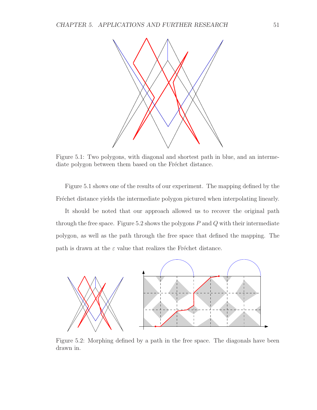

Figure 5.1: Two polygons, with diagonal and shortest path in blue, and an intermediate polygon between them based on the Fréchet distance.

Figure 5.1 shows one of the results of our experiment. The mapping defined by the Fréchet distance yields the intermediate polygon pictured when interpolating linearly.

It should be noted that our approach allowed us to recover the original path through the free space. Figure 5.2 shows the polygons  $P$  and  $Q$  with their intermediate polygon, as well as the path through the free space that defined the mapping. The path is drawn at the  $\varepsilon$  value that realizes the Fréchet distance.



Figure 5.2: Morphing defined by a path in the free space. The diagonals have been drawn in.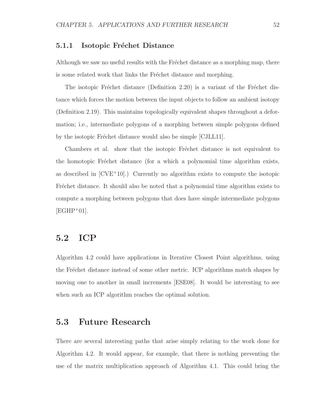#### 5.1.1 Isotopic Fréchet Distance

Although we saw no useful results with the Fréchet distance as a morphing map, there is some related work that links the Fréchet distance and morphing.

The isotopic Fréchet distance (Definition 2.20) is a variant of the Fréchet distance which forces the motion between the input objects to follow an ambient isotopy (Definition 2.19). This maintains topologically equivalent shapes throughout a deformation; i.e., intermediate polygons of a morphing between simple polygons defined by the isotopic Fréchet distance would also be simple [CJLL11].

Chambers et al. show that the isotopic Fréchet distance is not equivalent to the homotopic Fréchet distance (for a which a polynomial time algorithm exists, as described in  $[CVE^+10]$ .) Currently no algorithm exists to compute the isotopic Fréchet distance. It should also be noted that a polynomial time algorithm exists to compute a morphing between polygons that does have simple intermediate polygons  $[EGHP^+01]$ .

## 5.2 ICP

Algorithm 4.2 could have applications in Iterative Closest Point algorithms, using the Fréchet distance instead of some other metric. ICP algorithms match shapes by moving one to another in small increments [ESE08]. It would be interesting to see when such an ICP algorithm reaches the optimal solution.

### 5.3 Future Research

There are several interesting paths that arise simply relating to the work done for Algorithm 4.2. It would appear, for example, that there is nothing preventing the use of the matrix multiplication approach of Algorithm 4.1. This could bring the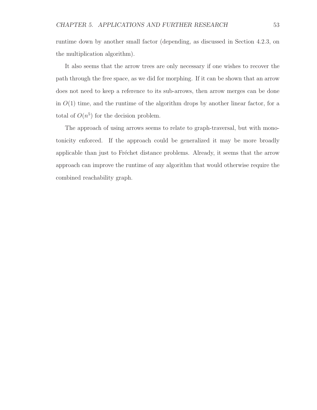runtime down by another small factor (depending, as discussed in Section 4.2.3, on the multiplication algorithm).

It also seems that the arrow trees are only necessary if one wishes to recover the path through the free space, as we did for morphing. If it can be shown that an arrow does not need to keep a reference to its sub-arrows, then arrow merges can be done in  $O(1)$  time, and the runtime of the algorithm drops by another linear factor, for a total of  $O(n^5)$  for the decision problem.

The approach of using arrows seems to relate to graph-traversal, but with monotonicity enforced. If the approach could be generalized it may be more broadly applicable than just to Fréchet distance problems. Already, it seems that the arrow approach can improve the runtime of any algorithm that would otherwise require the combined reachability graph.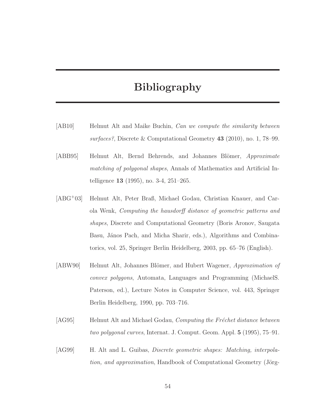## Bibliography

- [AB10] Helmut Alt and Maike Buchin, Can we compute the similarity between surfaces?, Discrete & Computational Geometry 43 (2010), no. 1, 78–99.
- [ABB95] Helmut Alt, Bernd Behrends, and Johannes Blömer, *Approximate* matching of polygonal shapes, Annals of Mathematics and Artificial Intelligence 13 (1995), no. 3-4, 251–265.
- [ABG<sup>+</sup>03] Helmut Alt, Peter Braß, Michael Godau, Christian Knauer, and Carola Wenk, Computing the hausdorff distance of geometric patterns and shapes, Discrete and Computational Geometry (Boris Aronov, Saugata Basu, János Pach, and Micha Sharir, eds.), Algorithms and Combinatorics, vol. 25, Springer Berlin Heidelberg, 2003, pp. 65–76 (English).
- [ABW90] Helmut Alt, Johannes Blömer, and Hubert Wagener, Approximation of convex polygons, Automata, Languages and Programming (MichaelS. Paterson, ed.), Lecture Notes in Computer Science, vol. 443, Springer Berlin Heidelberg, 1990, pp. 703–716.
- $[\text{AG95}]$  Helmut Alt and Michael Godau, *Computing the Fréchet distance between* two polygonal curves, Internat. J. Comput. Geom. Appl. 5 (1995), 75–91.
- [AG99] H. Alt and L. Guibas, *Discrete geometric shapes: Matching, interpola*tion, and approximation, Handbook of Computational Geometry (Jörg-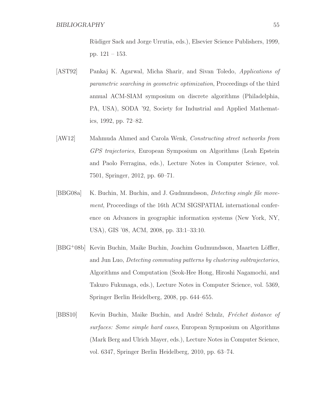R¨udiger Sack and Jorge Urrutia, eds.), Elsevier Science Publishers, 1999, pp. 121 – 153.

- [AST92] Pankaj K. Agarwal, Micha Sharir, and Sivan Toledo, Applications of parametric searching in geometric optimization, Proceedings of the third annual ACM-SIAM symposium on discrete algorithms (Philadelphia, PA, USA), SODA '92, Society for Industrial and Applied Mathematics, 1992, pp. 72–82.
- [AW12] Mahmuda Ahmed and Carola Wenk, Constructing street networks from GPS trajectories, European Symposium on Algorithms (Leah Epstein and Paolo Ferragina, eds.), Lecture Notes in Computer Science, vol. 7501, Springer, 2012, pp. 60–71.
- [BBG08a] K. Buchin, M. Buchin, and J. Gudmundsson, Detecting single file movement, Proceedings of the 16th ACM SIGSPATIAL international conference on Advances in geographic information systems (New York, NY, USA), GIS '08, ACM, 2008, pp. 33:1–33:10.
- [BBG+08b] Kevin Buchin, Maike Buchin, Joachim Gudmundsson, Maarten Löffler, and Jun Luo, Detecting commuting patterns by clustering subtrajectories, Algorithms and Computation (Seok-Hee Hong, Hiroshi Nagamochi, and Takuro Fukunaga, eds.), Lecture Notes in Computer Science, vol. 5369, Springer Berlin Heidelberg, 2008, pp. 644–655.
- [BBS10] Kevin Buchin, Maike Buchin, and André Schulz, Fréchet distance of surfaces: Some simple hard cases, European Symposium on Algorithms (Mark Berg and Ulrich Mayer, eds.), Lecture Notes in Computer Science, vol. 6347, Springer Berlin Heidelberg, 2010, pp. 63–74.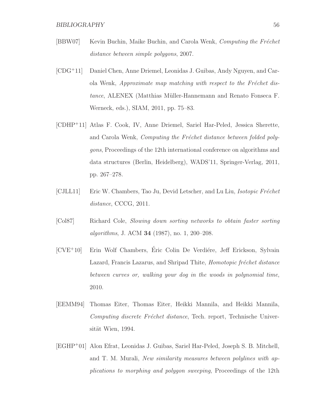- [BBW07] Kevin Buchin, Maike Buchin, and Carola Wenk, Computing the Fréchet distance between simple polygons, 2007.
- [CDG<sup>+</sup>11] Daniel Chen, Anne Driemel, Leonidas J. Guibas, Andy Nguyen, and Carola Wenk, Approximate map matching with respect to the Fréchet distance, ALENEX (Matthias Müller-Hannemann and Renato Fonseca F. Werneck, eds.), SIAM, 2011, pp. 75–83.
- [CDHP<sup>+</sup>11] Atlas F. Cook, IV, Anne Driemel, Sariel Har-Peled, Jessica Sherette, and Carola Wenk, *Computing the Fréchet distance between folded poly*gons, Proceedings of the 12th international conference on algorithms and data structures (Berlin, Heidelberg), WADS'11, Springer-Verlag, 2011, pp. 267–278.
- [CJLL11] Eric W. Chambers, Tao Ju, Devid Letscher, and Lu Liu, *Isotopic Fréchet* distance, CCCG, 2011.
- [Col87] Richard Cole, Slowing down sorting networks to obtain faster sorting algorithms, J. ACM 34 (1987), no. 1, 200–208.
- $[CVE^+10]$  Erin Wolf Chambers, Éric Colin De Verdière, Jeff Erickson, Sylvain Lazard, Francis Lazarus, and Shripad Thite, Homotopic fréchet distance between curves or, walking your dog in the woods in polynomial time, 2010.
- [EEMM94] Thomas Eiter, Thomas Eiter, Heikki Mannila, and Heikki Mannila, Computing discrete Fréchet distance, Tech. report, Technische Universität Wien, 1994.
- [EGHP<sup>+</sup>01] Alon Efrat, Leonidas J. Guibas, Sariel Har-Peled, Joseph S. B. Mitchell, and T. M. Murali, New similarity measures between polylines with applications to morphing and polygon sweeping, Proceedings of the 12th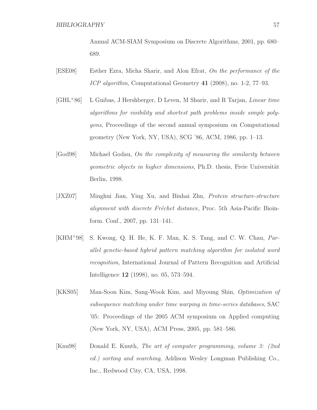Annual ACM-SIAM Symposium on Discrete Algorithms, 2001, pp. 680– 689.

- [ESE08] Esther Ezra, Micha Sharir, and Alon Efrat, On the performance of the ICP algorithm, Computational Geometry 41 (2008), no. 1-2, 77–93.
- [GHL<sup>+</sup>86] L Guibas, J Hershberger, D Leven, M Sharir, and R Tarjan, Linear time algorithms for visibility and shortest path problems inside simple polygons, Proceedings of the second annual symposium on Computational geometry (New York, NY, USA), SCG '86, ACM, 1986, pp. 1–13.
- [God98] Michael Godau, On the complexity of measuring the similarity between geometric objects in higher dimensions, Ph.D. thesis, Freie Universität Berlin, 1998.
- [JXZ07] Minghui Jian, Ying Xu, and Binhai Zhu, Protein structure-structure alignment with discrete Fréchet distance, Proc. 5th Asia-Pacific Bioinform. Conf., 2007, pp. 131–141.
- [KHM<sup>+</sup>98] S. Kwong, Q. H. He, K. F. Man, K. S. Tang, and C. W. Chau, Parallel genetic-based hybrid pattern matching algorithm for isolated word recognition, International Journal of Pattern Recognition and Artificial Intelligence 12 (1998), no. 05, 573–594.
- [KKS05] Man-Soon Kim, Sang-Wook Kim, and Miyoung Shin, Optimization of subsequence matching under time warping in time-series databases, SAC '05: Proceedings of the 2005 ACM symposium on Applied computing (New York, NY, USA), ACM Press, 2005, pp. 581–586.
- [Knu98] Donald E. Knuth, The art of computer programming, volume 3: (2nd ed.) sorting and searching, Addison Wesley Longman Publishing Co., Inc., Redwood City, CA, USA, 1998.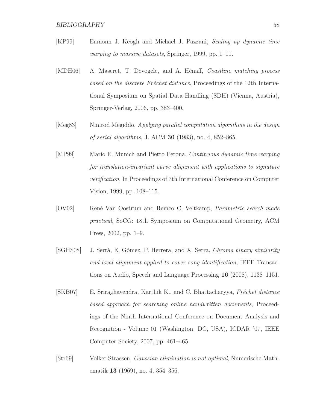#### BIBLIOGRAPHY 58

- [KP99] Eamonn J. Keogh and Michael J. Pazzani, Scaling up dynamic time warping to massive datasets, Springer, 1999, pp. 1–11.
- [MDH06] A. Mascret, T. Devogele, and A. Hénaff, *Coastline matching process* based on the discrete Fréchet distance, Proceedings of the 12th International Symposium on Spatial Data Handling (SDH) (Vienna, Austria), Springer-Verlag, 2006, pp. 383–400.
- [Meg83] Nimrod Megiddo, Applying parallel computation algorithms in the design of serial algorithms, J. ACM 30 (1983), no. 4, 852–865.
- [MP99] Mario E. Munich and Pietro Perona, Continuous dynamic time warping for translation-invariant curve alignment with applications to signature verification, In Proceedings of 7th International Conference on Computer Vision, 1999, pp. 108–115.
- [OV02] René Van Oostrum and Remco C. Veltkamp, *Parametric search made* practical, SoCG: 18th Symposium on Computational Geometry, ACM Press, 2002, pp. 1–9.
- [SGHS08] J. Serrà, E. Gómez, P. Herrera, and X. Serra, Chroma binary similarity and local alignment applied to cover song identification, IEEE Transactions on Audio, Speech and Language Processing 16 (2008), 1138–1151.
- [SKB07] E. Sriraghavendra, Karthik K., and C. Bhattacharyya, Fréchet distance based approach for searching online handwritten documents, Proceedings of the Ninth International Conference on Document Analysis and Recognition - Volume 01 (Washington, DC, USA), ICDAR '07, IEEE Computer Society, 2007, pp. 461–465.
- [Str69] Volker Strassen, Gaussian elimination is not optimal, Numerische Mathematik 13 (1969), no. 4, 354–356.